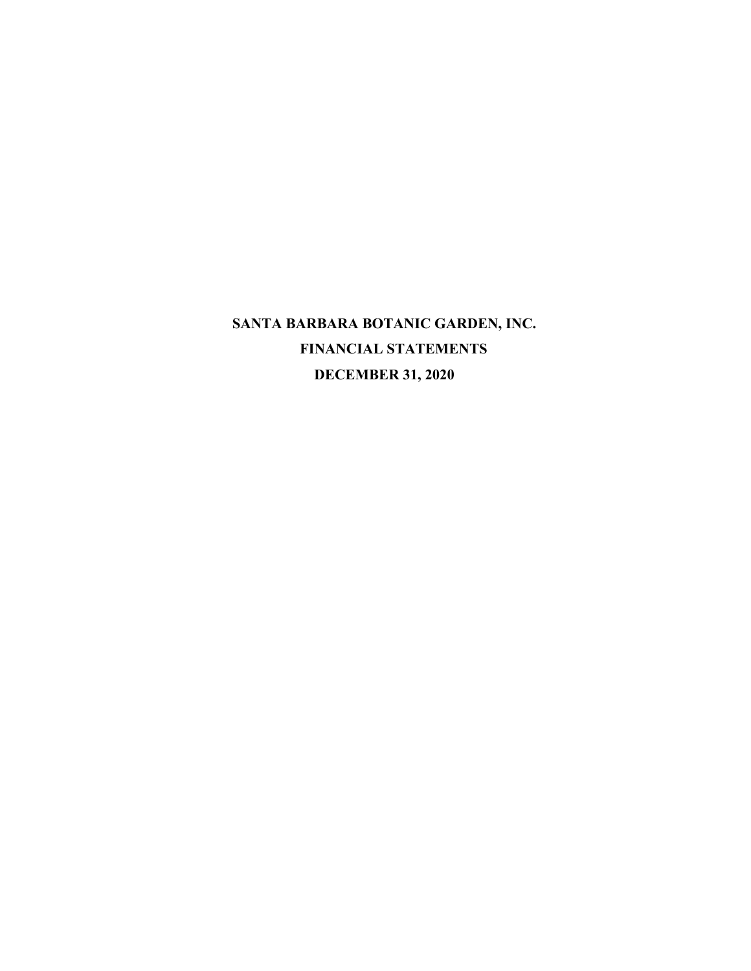# **SANTA BARBARA BOTANIC GARDEN, INC. FINANCIAL STATEMENTS DECEMBER 31, 2020**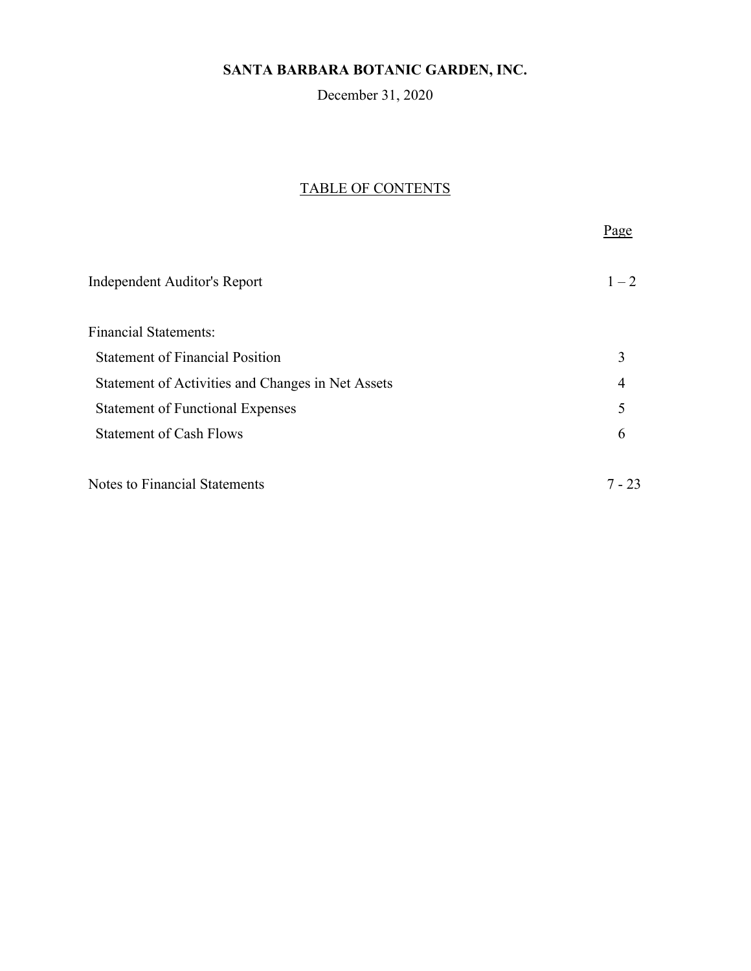# December 31, 2020

# TABLE OF CONTENTS

Page

| <b>Independent Auditor's Report</b>               | $1 - 2$        |
|---------------------------------------------------|----------------|
| <b>Financial Statements:</b>                      |                |
| <b>Statement of Financial Position</b>            | 3              |
| Statement of Activities and Changes in Net Assets | $\overline{4}$ |
| <b>Statement of Functional Expenses</b>           | 5              |
| <b>Statement of Cash Flows</b>                    | 6              |
|                                                   |                |
| <b>Notes to Financial Statements</b>              | 7 - 23         |
|                                                   |                |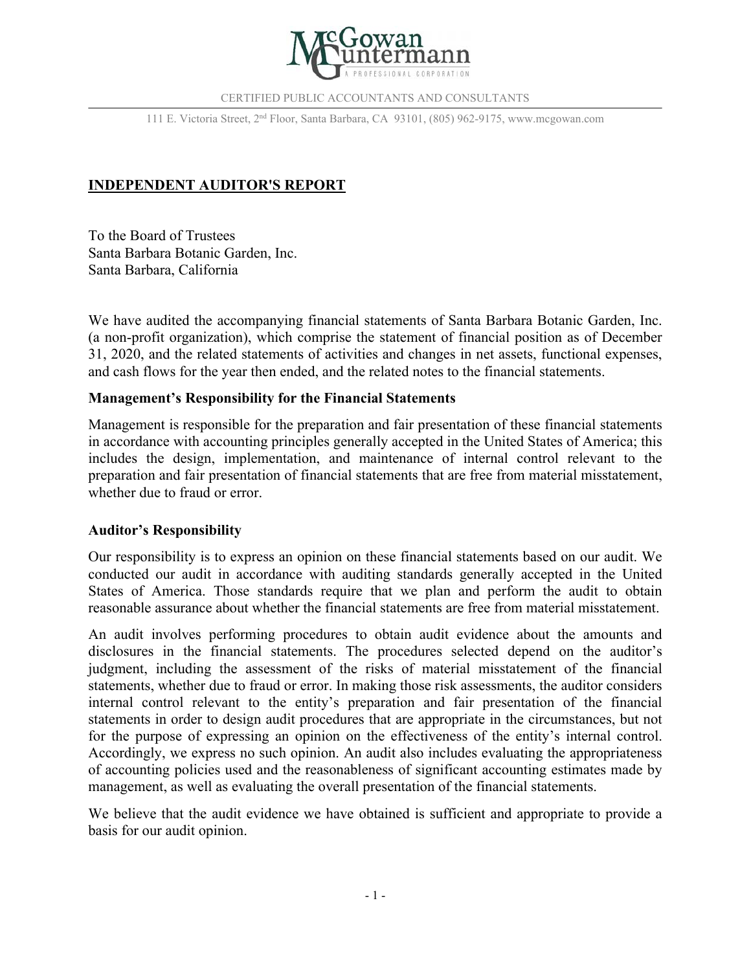

#### CERTIFIED PUBLIC ACCOUNTANTS AND CONSULTANTS

111 E. Victoria Street, 2nd Floor, Santa Barbara, CA 93101, (805) 962-9175, www.mcgowan.com

# **INDEPENDENT AUDITOR'S REPORT**

To the Board of Trustees Santa Barbara Botanic Garden, Inc. Santa Barbara, California

We have audited the accompanying financial statements of Santa Barbara Botanic Garden, Inc. (a non-profit organization), which comprise the statement of financial position as of December 31, 2020, and the related statements of activities and changes in net assets, functional expenses, and cash flows for the year then ended, and the related notes to the financial statements.

#### **Management's Responsibility for the Financial Statements**

Management is responsible for the preparation and fair presentation of these financial statements in accordance with accounting principles generally accepted in the United States of America; this includes the design, implementation, and maintenance of internal control relevant to the preparation and fair presentation of financial statements that are free from material misstatement, whether due to fraud or error.

### **Auditor's Responsibility**

Our responsibility is to express an opinion on these financial statements based on our audit. We conducted our audit in accordance with auditing standards generally accepted in the United States of America. Those standards require that we plan and perform the audit to obtain reasonable assurance about whether the financial statements are free from material misstatement.

An audit involves performing procedures to obtain audit evidence about the amounts and disclosures in the financial statements. The procedures selected depend on the auditor's judgment, including the assessment of the risks of material misstatement of the financial statements, whether due to fraud or error. In making those risk assessments, the auditor considers internal control relevant to the entity's preparation and fair presentation of the financial statements in order to design audit procedures that are appropriate in the circumstances, but not for the purpose of expressing an opinion on the effectiveness of the entity's internal control. Accordingly, we express no such opinion. An audit also includes evaluating the appropriateness of accounting policies used and the reasonableness of significant accounting estimates made by management, as well as evaluating the overall presentation of the financial statements.

We believe that the audit evidence we have obtained is sufficient and appropriate to provide a basis for our audit opinion.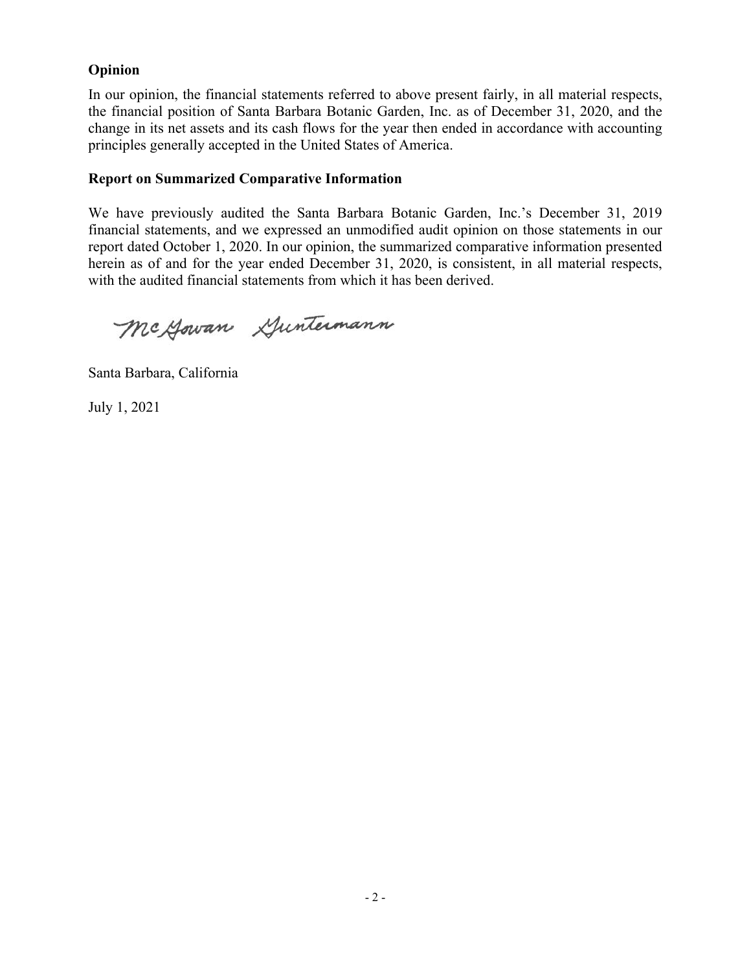# **Opinion**

In our opinion, the financial statements referred to above present fairly, in all material respects, the financial position of Santa Barbara Botanic Garden, Inc. as of December 31, 2020, and the change in its net assets and its cash flows for the year then ended in accordance with accounting principles generally accepted in the United States of America.

# **Report on Summarized Comparative Information**

We have previously audited the Santa Barbara Botanic Garden, Inc.'s December 31, 2019 financial statements, and we expressed an unmodified audit opinion on those statements in our report dated October 1, 2020. In our opinion, the summarized comparative information presented herein as of and for the year ended December 31, 2020, is consistent, in all material respects, with the audited financial statements from which it has been derived.

Mc Howan Guntermann

Santa Barbara, California

July 1, 2021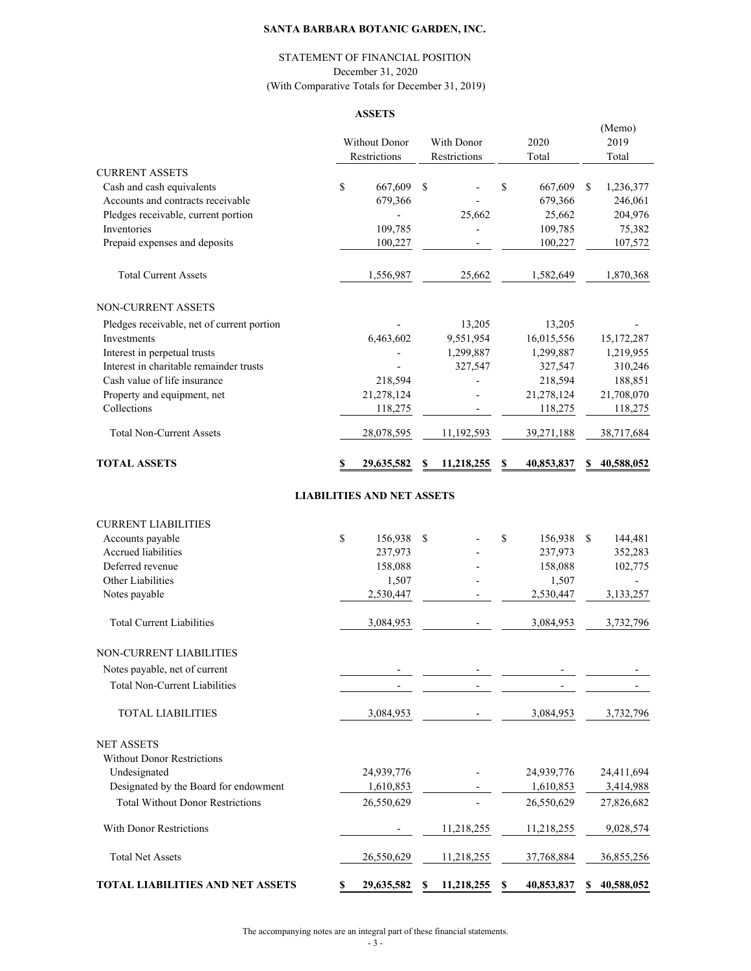#### (With Comparative Totals for December 31, 2019) December 31, 2020 STATEMENT OF FINANCIAL POSITION

#### **ASSETS**

|                                            | <b>Without Donor</b> |               | With Donor   |    | 2020       |     | (Memo)<br>2019 |
|--------------------------------------------|----------------------|---------------|--------------|----|------------|-----|----------------|
|                                            | Restrictions         |               | Restrictions |    | Total      |     | Total          |
| <b>CURRENT ASSETS</b>                      |                      |               |              |    |            |     |                |
| Cash and cash equivalents                  | \$<br>667,609        | <sup>\$</sup> |              | S  | 667,609    | \$. | 1,236,377      |
| Accounts and contracts receivable          | 679,366              |               |              |    | 679,366    |     | 246,061        |
| Pledges receivable, current portion        |                      |               | 25,662       |    | 25,662     |     | 204,976        |
| Inventories                                | 109,785              |               |              |    | 109,785    |     | 75,382         |
| Prepaid expenses and deposits              | 100,227              |               |              |    | 100,227    |     | 107,572        |
| <b>Total Current Assets</b>                | 1,556,987            |               | 25,662       |    | 1,582,649  |     | 1,870,368      |
| <b>NON-CURRENT ASSETS</b>                  |                      |               |              |    |            |     |                |
| Pledges receivable, net of current portion |                      |               | 13,205       |    | 13,205     |     |                |
| <b>Investments</b>                         | 6,463,602            |               | 9,551,954    |    | 16,015,556 |     | 15, 172, 287   |
| Interest in perpetual trusts               |                      |               | 1,299,887    |    | 1,299,887  |     | 1,219,955      |
| Interest in charitable remainder trusts    |                      |               | 327,547      |    | 327,547    |     | 310,246        |
| Cash value of life insurance               | 218,594              |               |              |    | 218,594    |     | 188,851        |
| Property and equipment, net                | 21,278,124           |               |              |    | 21,278,124 |     | 21,708,070     |
| Collections                                | 118,275              |               |              |    | 118,275    |     | 118,275        |
| <b>Total Non-Current Assets</b>            | 28,078,595           |               | 11,192,593   |    | 39,271,188 |     | 38,717,684     |
| <b>TOTAL ASSETS</b>                        | \$<br>29,635,582     | S             | 11,218,255   | \$ | 40,853,837 |     | 40,588,052     |

#### **LIABILITIES AND NET ASSETS**

| <b>CURRENT LIABILITIES</b>              |    |            |     |            |   |            |     |            |
|-----------------------------------------|----|------------|-----|------------|---|------------|-----|------------|
| Accounts payable                        | \$ | 156,938    | \$. |            | S | 156,938    | \$. | 144,481    |
| <b>Accrued liabilities</b>              |    | 237,973    |     |            |   | 237,973    |     | 352,283    |
| Deferred revenue                        |    | 158,088    |     |            |   | 158,088    |     | 102,775    |
| Other Liabilities                       |    | 1,507      |     |            |   | 1,507      |     |            |
| Notes payable                           |    | 2,530,447  |     |            |   | 2,530,447  |     | 3,133,257  |
| <b>Total Current Liabilities</b>        |    | 3,084,953  |     |            |   | 3,084,953  |     | 3,732,796  |
| <b>NON-CURRENT LIABILITIES</b>          |    |            |     |            |   |            |     |            |
| Notes payable, net of current           |    |            |     |            |   |            |     |            |
| <b>Total Non-Current Liabilities</b>    |    |            |     |            |   |            |     |            |
| <b>TOTAL LIABILITIES</b>                |    | 3,084,953  |     |            |   | 3,084,953  |     | 3,732,796  |
| <b>NET ASSETS</b>                       |    |            |     |            |   |            |     |            |
| <b>Without Donor Restrictions</b>       |    |            |     |            |   |            |     |            |
| Undesignated                            |    | 24,939,776 |     |            |   | 24,939,776 |     | 24,411,694 |
| Designated by the Board for endowment   |    | 1,610,853  |     |            |   | 1,610,853  |     | 3,414,988  |
| <b>Total Without Donor Restrictions</b> |    | 26,550,629 |     |            |   | 26,550,629 |     | 27,826,682 |
| <b>With Donor Restrictions</b>          |    |            |     | 11,218,255 |   | 11,218,255 |     | 9,028,574  |
| <b>Total Net Assets</b>                 |    | 26,550,629 |     | 11,218,255 |   | 37,768,884 |     | 36,855,256 |
| <b>TOTAL LIABILITIES AND NET ASSETS</b> | S  | 29,635,582 | S   | 11,218,255 | S | 40.853.837 | S   | 40,588,052 |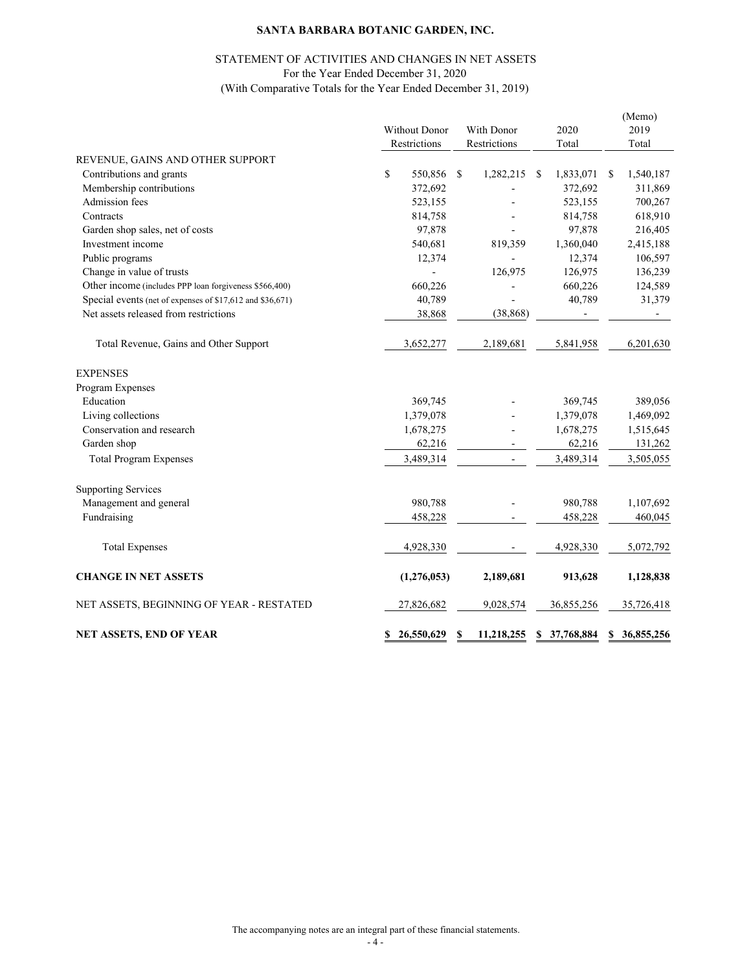#### (With Comparative Totals for the Year Ended December 31, 2019) For the Year Ended December 31, 2020 STATEMENT OF ACTIVITIES AND CHANGES IN NET ASSETS

|                                                           |                      |                           |                            | (Memo)                     |
|-----------------------------------------------------------|----------------------|---------------------------|----------------------------|----------------------------|
|                                                           | <b>Without Donor</b> | With Donor                | 2020                       | 2019                       |
|                                                           | Restrictions         | Restrictions              | Total                      | Total                      |
| REVENUE, GAINS AND OTHER SUPPORT                          |                      |                           |                            |                            |
| Contributions and grants                                  | \$<br>550,856        | <sup>S</sup><br>1,282,215 | 1,833,071<br><sup>\$</sup> | 1,540,187<br><sup>\$</sup> |
| Membership contributions                                  | 372,692              |                           | 372,692                    | 311,869                    |
| Admission fees                                            | 523,155              |                           | 523,155                    | 700,267                    |
| Contracts                                                 | 814,758              |                           | 814,758                    | 618,910                    |
| Garden shop sales, net of costs                           | 97,878               |                           | 97,878                     | 216,405                    |
| Investment income                                         | 540,681              | 819,359                   | 1,360,040                  | 2,415,188                  |
| Public programs                                           | 12,374               |                           | 12,374                     | 106,597                    |
| Change in value of trusts                                 |                      | 126,975                   | 126,975                    | 136,239                    |
| Other income (includes PPP loan forgiveness \$566,400)    | 660,226              |                           | 660,226                    | 124,589                    |
| Special events (net of expenses of \$17,612 and \$36,671) | 40,789               |                           | 40,789                     | 31,379                     |
| Net assets released from restrictions                     | 38,868               | (38, 868)                 |                            |                            |
| Total Revenue, Gains and Other Support                    | 3,652,277            | 2,189,681                 | 5,841,958                  | 6,201,630                  |
| <b>EXPENSES</b>                                           |                      |                           |                            |                            |
| Program Expenses                                          |                      |                           |                            |                            |
| Education                                                 | 369,745              |                           | 369,745                    | 389,056                    |
| Living collections                                        | 1,379,078            |                           | 1,379,078                  | 1,469,092                  |
| Conservation and research                                 | 1,678,275            |                           | 1,678,275                  | 1,515,645                  |
| Garden shop                                               | 62,216               |                           | 62,216                     | 131,262                    |
| <b>Total Program Expenses</b>                             | 3,489,314            |                           | 3,489,314                  | 3,505,055                  |
| <b>Supporting Services</b>                                |                      |                           |                            |                            |
| Management and general                                    | 980,788              |                           | 980,788                    | 1,107,692                  |
| Fundraising                                               | 458,228              |                           | 458,228                    | 460,045                    |
| <b>Total Expenses</b>                                     | 4,928,330            |                           | 4,928,330                  | 5,072,792                  |
| <b>CHANGE IN NET ASSETS</b>                               | (1,276,053)          | 2,189,681                 | 913,628                    | 1,128,838                  |
| NET ASSETS, BEGINNING OF YEAR - RESTATED                  | 27,826,682           | 9,028,574                 | 36,855,256                 | 35,726,418                 |
| <b>NET ASSETS, END OF YEAR</b>                            | 26,550,629<br>\$     | 11,218,255<br>S           | 37,768,884<br>S            | 36,855,256<br>\$           |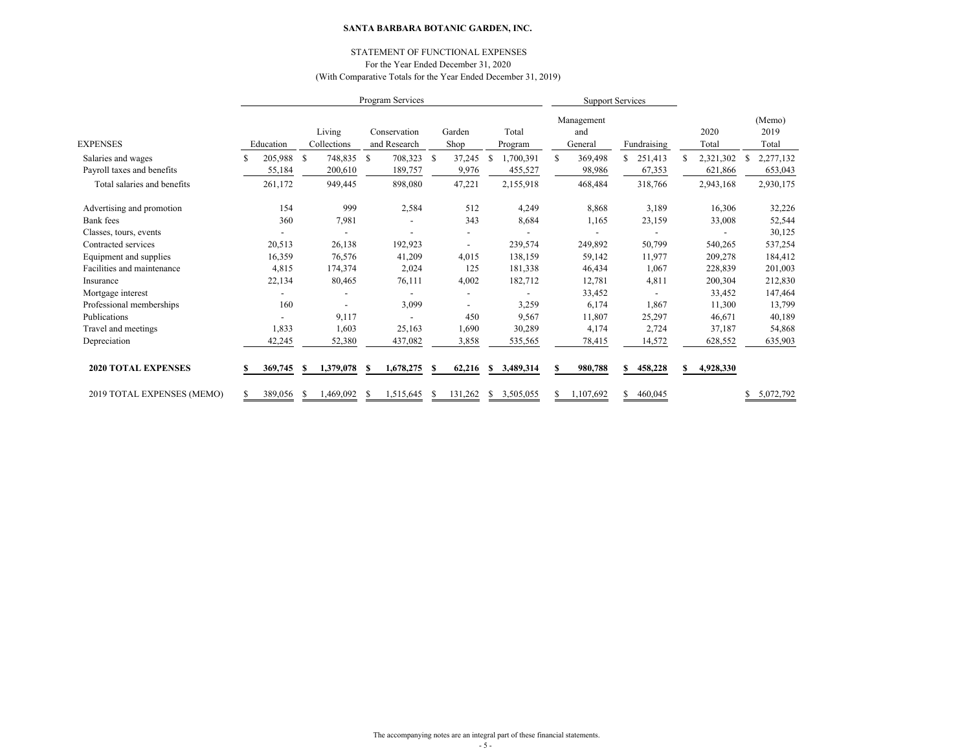#### STATEMENT OF FUNCTIONAL EXPENSES

For the Year Ended December 31, 2020

(With Comparative Totals for the Year Ended December 31, 2019)

|                             | Program Services |           |               |                       |    | <b>Support Services</b>      |    |                          |    |                  |   |                              |               |             |    |               |     |                         |
|-----------------------------|------------------|-----------|---------------|-----------------------|----|------------------------------|----|--------------------------|----|------------------|---|------------------------------|---------------|-------------|----|---------------|-----|-------------------------|
| <b>EXPENSES</b>             |                  | Education |               | Living<br>Collections |    | Conservation<br>and Research |    | Garden<br>Shop           |    | Total<br>Program |   | Management<br>and<br>General |               | Fundraising |    | 2020<br>Total |     | (Memo)<br>2019<br>Total |
| Salaries and wages          | S                | 205,988   | <sup>\$</sup> | 748,835               | -S | 708,323 \$                   |    | 37,245                   | -S | 1,700,391        | S | 369,498                      | <sup>\$</sup> | 251,413     | \$ | 2,321,302     | \$. | 2,277,132               |
| Payroll taxes and benefits  |                  | 55,184    |               | 200,610               |    | 189,757                      |    | 9,976                    |    | 455,527          |   | 98,986                       |               | 67,353      |    | 621,866       |     | 653,043                 |
| Total salaries and benefits |                  | 261,172   |               | 949,445               |    | 898,080                      |    | 47,221                   |    | 2,155,918        |   | 468,484                      |               | 318,766     |    | 2,943,168     |     | 2,930,175               |
| Advertising and promotion   |                  | 154       |               | 999                   |    | 2,584                        |    | 512                      |    | 4,249            |   | 8,868                        |               | 3,189       |    | 16,306        |     | 32,226                  |
| Bank fees                   |                  | 360       |               | 7,981                 |    |                              |    | 343                      |    | 8,684            |   | 1,165                        |               | 23,159      |    | 33,008        |     | 52,544                  |
| Classes, tours, events      |                  |           |               |                       |    |                              |    |                          |    |                  |   |                              |               |             |    |               |     | 30,125                  |
| Contracted services         |                  | 20,513    |               | 26,138                |    | 192,923                      |    | $\overline{\phantom{a}}$ |    | 239,574          |   | 249,892                      |               | 50,799      |    | 540,265       |     | 537,254                 |
| Equipment and supplies      |                  | 16,359    |               | 76,576                |    | 41,209                       |    | 4,015                    |    | 138,159          |   | 59,142                       |               | 11,977      |    | 209,278       |     | 184,412                 |
| Facilities and maintenance  |                  | 4,815     |               | 174,374               |    | 2,024                        |    | 125                      |    | 181,338          |   | 46,434                       |               | 1,067       |    | 228,839       |     | 201,003                 |
| Insurance                   |                  | 22,134    |               | 80,465                |    | 76,111                       |    | 4,002                    |    | 182,712          |   | 12,781                       |               | 4,811       |    | 200,304       |     | 212,830                 |
| Mortgage interest           |                  |           |               |                       |    |                              |    |                          |    |                  |   | 33,452                       |               |             |    | 33,452        |     | 147,464                 |
| Professional memberships    |                  | 160       |               |                       |    | 3,099                        |    |                          |    | 3,259            |   | 6,174                        |               | 1,867       |    | 11,300        |     | 13,799                  |
| Publications                |                  |           |               | 9,117                 |    |                              |    | 450                      |    | 9,567            |   | 11,807                       |               | 25,297      |    | 46,671        |     | 40,189                  |
| Travel and meetings         |                  | 1,833     |               | 1,603                 |    | 25,163                       |    | 1,690                    |    | 30,289           |   | 4,174                        |               | 2,724       |    | 37,187        |     | 54,868                  |
| Depreciation                |                  | 42,245    |               | 52,380                |    | 437,082                      |    | 3,858                    |    | 535,565          |   | 78,415                       |               | 14,572      |    | 628,552       |     | 635,903                 |
| <b>2020 TOTAL EXPENSES</b>  | S                | 369,745   | S             | 1,379,078             | S  | 1,678,275                    | S  | 62,216                   | S. | 3,489,314        |   | 980,788                      |               | 458,228     | S  | 4,928,330     |     |                         |
| 2019 TOTAL EXPENSES (MEMO)  | \$               | 389,056   | S             | 1,469,092             | S  | 1,515,645                    | -S | 131,262                  | S. | 3,505,055        | S | 1,107,692                    | S.            | 460,045     |    |               | \$  | 5,072,792               |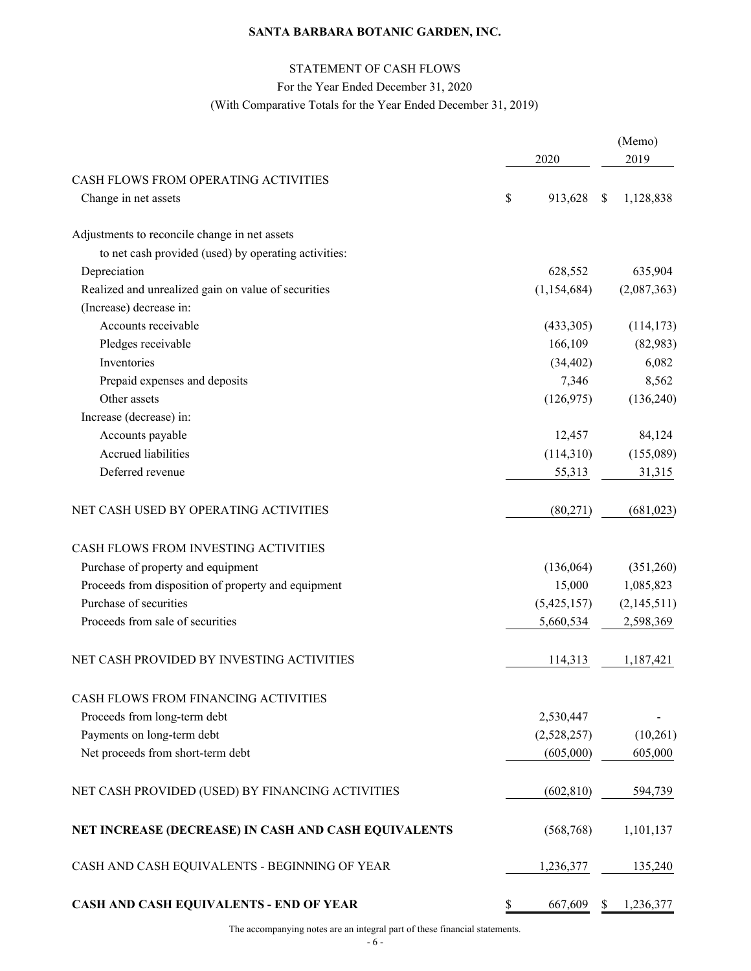# STATEMENT OF CASH FLOWS

#### For the Year Ended December 31, 2020

#### (With Comparative Totals for the Year Ended December 31, 2019)

|                                                      |    |             |              | (Memo)      |
|------------------------------------------------------|----|-------------|--------------|-------------|
|                                                      |    | 2020        |              | 2019        |
| CASH FLOWS FROM OPERATING ACTIVITIES                 |    |             |              |             |
| Change in net assets                                 | \$ | 913,628     | $\mathbb{S}$ | 1,128,838   |
| Adjustments to reconcile change in net assets        |    |             |              |             |
| to net cash provided (used) by operating activities: |    |             |              |             |
| Depreciation                                         |    | 628,552     |              | 635,904     |
| Realized and unrealized gain on value of securities  |    | (1,154,684) |              | (2,087,363) |
| (Increase) decrease in:                              |    |             |              |             |
| Accounts receivable                                  |    | (433,305)   |              | (114, 173)  |
| Pledges receivable                                   |    | 166,109     |              | (82,983)    |
| Inventories                                          |    | (34, 402)   |              | 6,082       |
| Prepaid expenses and deposits                        |    | 7,346       |              | 8,562       |
| Other assets                                         |    | (126, 975)  |              | (136,240)   |
| Increase (decrease) in:                              |    |             |              |             |
| Accounts payable                                     |    | 12,457      |              | 84,124      |
| <b>Accrued liabilities</b>                           |    | (114,310)   |              | (155,089)   |
| Deferred revenue                                     |    | 55,313      |              | 31,315      |
| NET CASH USED BY OPERATING ACTIVITIES                |    | (80,271)    |              | (681, 023)  |
| CASH FLOWS FROM INVESTING ACTIVITIES                 |    |             |              |             |
| Purchase of property and equipment                   |    | (136,064)   |              | (351,260)   |
| Proceeds from disposition of property and equipment  |    | 15,000      |              | 1,085,823   |
| Purchase of securities                               |    | (5,425,157) |              | (2,145,511) |
| Proceeds from sale of securities                     |    | 5,660,534   |              | 2,598,369   |
| NET CASH PROVIDED BY INVESTING ACTIVITIES            |    | 114,313     |              | 1,187,421   |
| CASH FLOWS FROM FINANCING ACTIVITIES                 |    |             |              |             |
| Proceeds from long-term debt                         |    | 2,530,447   |              |             |
| Payments on long-term debt                           |    | (2,528,257) |              | (10,261)    |
| Net proceeds from short-term debt                    |    | (605,000)   |              | 605,000     |
| NET CASH PROVIDED (USED) BY FINANCING ACTIVITIES     |    | (602, 810)  |              | 594,739     |
| NET INCREASE (DECREASE) IN CASH AND CASH EQUIVALENTS |    | (568, 768)  |              | 1,101,137   |
| CASH AND CASH EQUIVALENTS - BEGINNING OF YEAR        |    | 1,236,377   |              | 135,240     |
| CASH AND CASH EQUIVALENTS - END OF YEAR              | \$ | 667,609     | S.           | 1,236,377   |

The accompanying notes are an integral part of these financial statements.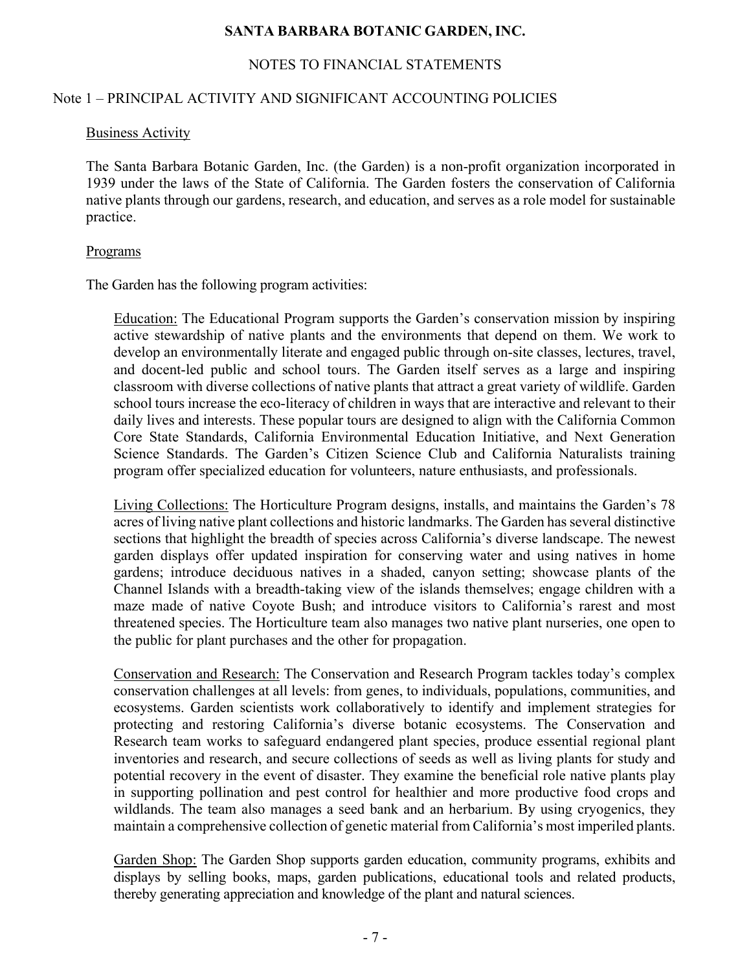# NOTES TO FINANCIAL STATEMENTS

# Note 1 – PRINCIPAL ACTIVITY AND SIGNIFICANT ACCOUNTING POLICIES

### Business Activity

The Santa Barbara Botanic Garden, Inc. (the Garden) is a non-profit organization incorporated in 1939 under the laws of the State of California. The Garden fosters the conservation of California native plants through our gardens, research, and education, and serves as a role model for sustainable practice.

#### Programs

The Garden has the following program activities:

Education: The Educational Program supports the Garden's conservation mission by inspiring active stewardship of native plants and the environments that depend on them. We work to develop an environmentally literate and engaged public through on-site classes, lectures, travel, and docent-led public and school tours. The Garden itself serves as a large and inspiring classroom with diverse collections of native plants that attract a great variety of wildlife. Garden school tours increase the eco-literacy of children in ways that are interactive and relevant to their daily lives and interests. These popular tours are designed to align with the California Common Core State Standards, California Environmental Education Initiative, and Next Generation Science Standards. The Garden's Citizen Science Club and California Naturalists training program offer specialized education for volunteers, nature enthusiasts, and professionals.

Living Collections: The Horticulture Program designs, installs, and maintains the Garden's 78 acres of living native plant collections and historic landmarks. The Garden has several distinctive sections that highlight the breadth of species across California's diverse landscape. The newest garden displays offer updated inspiration for conserving water and using natives in home gardens; introduce deciduous natives in a shaded, canyon setting; showcase plants of the Channel Islands with a breadth-taking view of the islands themselves; engage children with a maze made of native Coyote Bush; and introduce visitors to California's rarest and most threatened species. The Horticulture team also manages two native plant nurseries, one open to the public for plant purchases and the other for propagation.

Conservation and Research: The Conservation and Research Program tackles today's complex conservation challenges at all levels: from genes, to individuals, populations, communities, and ecosystems. Garden scientists work collaboratively to identify and implement strategies for protecting and restoring California's diverse botanic ecosystems. The Conservation and Research team works to safeguard endangered plant species, produce essential regional plant inventories and research, and secure collections of seeds as well as living plants for study and potential recovery in the event of disaster. They examine the beneficial role native plants play in supporting pollination and pest control for healthier and more productive food crops and wildlands. The team also manages a seed bank and an herbarium. By using cryogenics, they maintain a comprehensive collection of genetic material from California's most imperiled plants.

Garden Shop: The Garden Shop supports garden education, community programs, exhibits and displays by selling books, maps, garden publications, educational tools and related products, thereby generating appreciation and knowledge of the plant and natural sciences.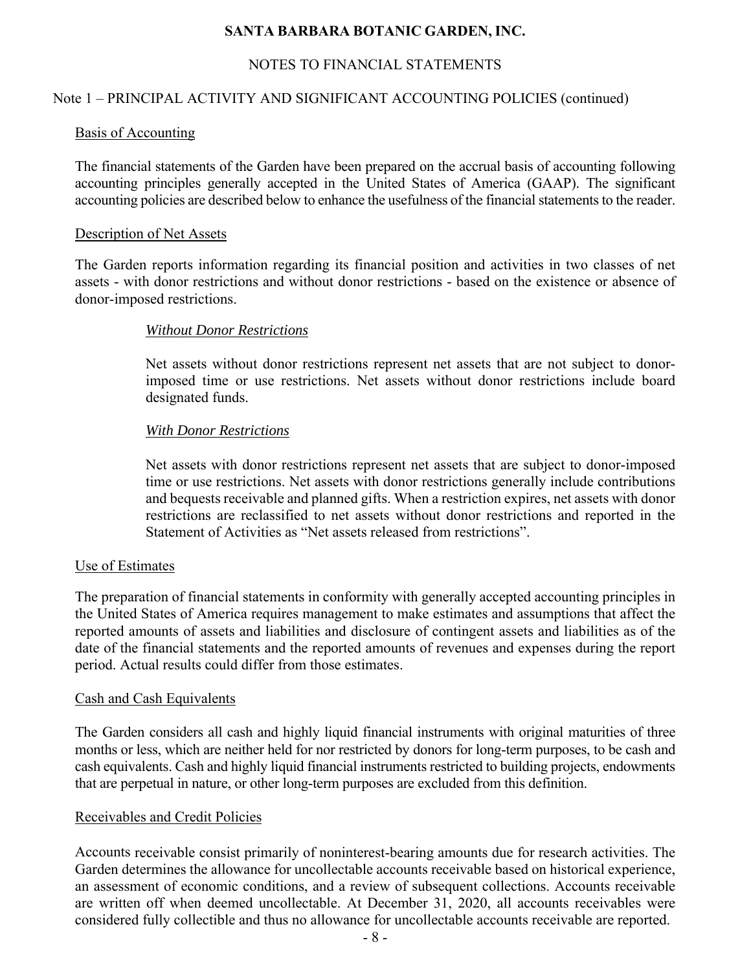# NOTES TO FINANCIAL STATEMENTS

# Note 1 – PRINCIPAL ACTIVITY AND SIGNIFICANT ACCOUNTING POLICIES (continued)

#### Basis of Accounting

The financial statements of the Garden have been prepared on the accrual basis of accounting following accounting principles generally accepted in the United States of America (GAAP). The significant accounting policies are described below to enhance the usefulness of the financial statements to the reader.

#### Description of Net Assets

The Garden reports information regarding its financial position and activities in two classes of net assets - with donor restrictions and without donor restrictions - based on the existence or absence of donor-imposed restrictions.

### *Without Donor Restrictions*

Net assets without donor restrictions represent net assets that are not subject to donorimposed time or use restrictions. Net assets without donor restrictions include board designated funds.

### *With Donor Restrictions*

Net assets with donor restrictions represent net assets that are subject to donor-imposed time or use restrictions. Net assets with donor restrictions generally include contributions and bequests receivable and planned gifts. When a restriction expires, net assets with donor restrictions are reclassified to net assets without donor restrictions and reported in the Statement of Activities as "Net assets released from restrictions".

### Use of Estimates

The preparation of financial statements in conformity with generally accepted accounting principles in the United States of America requires management to make estimates and assumptions that affect the reported amounts of assets and liabilities and disclosure of contingent assets and liabilities as of the date of the financial statements and the reported amounts of revenues and expenses during the report period. Actual results could differ from those estimates.

#### Cash and Cash Equivalents

The Garden considers all cash and highly liquid financial instruments with original maturities of three months or less, which are neither held for nor restricted by donors for long-term purposes, to be cash and cash equivalents. Cash and highly liquid financial instruments restricted to building projects, endowments that are perpetual in nature, or other long-term purposes are excluded from this definition.

### Receivables and Credit Policies

Accounts receivable consist primarily of noninterest-bearing amounts due for research activities. The Garden determines the allowance for uncollectable accounts receivable based on historical experience, an assessment of economic conditions, and a review of subsequent collections. Accounts receivable are written off when deemed uncollectable. At December 31, 2020, all accounts receivables were considered fully collectible and thus no allowance for uncollectable accounts receivable are reported.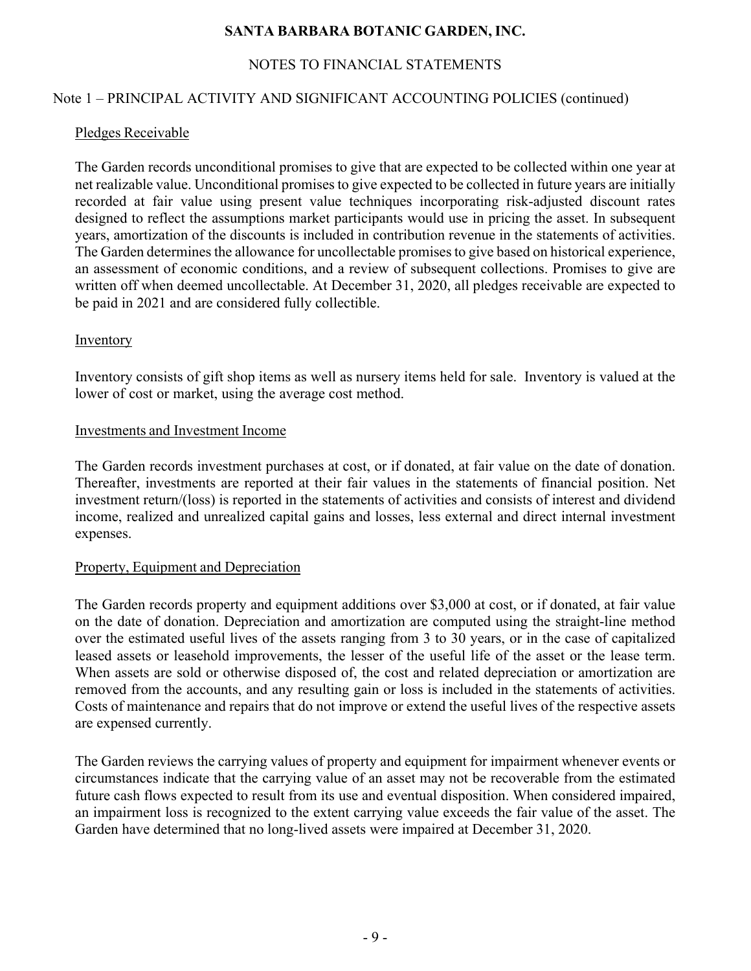# NOTES TO FINANCIAL STATEMENTS

# Note 1 – PRINCIPAL ACTIVITY AND SIGNIFICANT ACCOUNTING POLICIES (continued)

### Pledges Receivable

The Garden records unconditional promises to give that are expected to be collected within one year at net realizable value. Unconditional promises to give expected to be collected in future years are initially recorded at fair value using present value techniques incorporating risk-adjusted discount rates designed to reflect the assumptions market participants would use in pricing the asset. In subsequent years, amortization of the discounts is included in contribution revenue in the statements of activities. The Garden determines the allowance for uncollectable promises to give based on historical experience, an assessment of economic conditions, and a review of subsequent collections. Promises to give are written off when deemed uncollectable. At December 31, 2020, all pledges receivable are expected to be paid in 2021 and are considered fully collectible.

# **Inventory**

Inventory consists of gift shop items as well as nursery items held for sale. Inventory is valued at the lower of cost or market, using the average cost method.

#### Investments and Investment Income

The Garden records investment purchases at cost, or if donated, at fair value on the date of donation. Thereafter, investments are reported at their fair values in the statements of financial position. Net investment return/(loss) is reported in the statements of activities and consists of interest and dividend income, realized and unrealized capital gains and losses, less external and direct internal investment expenses.

### Property, Equipment and Depreciation

The Garden records property and equipment additions over \$3,000 at cost, or if donated, at fair value on the date of donation. Depreciation and amortization are computed using the straight-line method over the estimated useful lives of the assets ranging from 3 to 30 years, or in the case of capitalized leased assets or leasehold improvements, the lesser of the useful life of the asset or the lease term. When assets are sold or otherwise disposed of, the cost and related depreciation or amortization are removed from the accounts, and any resulting gain or loss is included in the statements of activities. Costs of maintenance and repairs that do not improve or extend the useful lives of the respective assets are expensed currently.

The Garden reviews the carrying values of property and equipment for impairment whenever events or circumstances indicate that the carrying value of an asset may not be recoverable from the estimated future cash flows expected to result from its use and eventual disposition. When considered impaired, an impairment loss is recognized to the extent carrying value exceeds the fair value of the asset. The Garden have determined that no long-lived assets were impaired at December 31, 2020.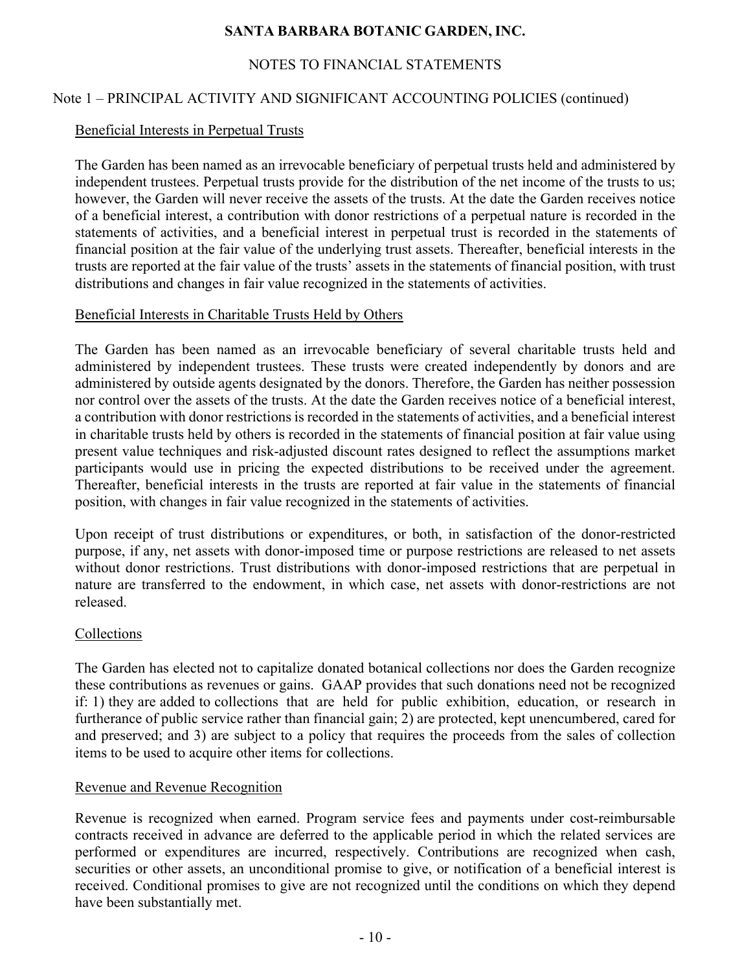# NOTES TO FINANCIAL STATEMENTS

# Note 1 – PRINCIPAL ACTIVITY AND SIGNIFICANT ACCOUNTING POLICIES (continued)

# Beneficial Interests in Perpetual Trusts

The Garden has been named as an irrevocable beneficiary of perpetual trusts held and administered by independent trustees. Perpetual trusts provide for the distribution of the net income of the trusts to us; however, the Garden will never receive the assets of the trusts. At the date the Garden receives notice of a beneficial interest, a contribution with donor restrictions of a perpetual nature is recorded in the statements of activities, and a beneficial interest in perpetual trust is recorded in the statements of financial position at the fair value of the underlying trust assets. Thereafter, beneficial interests in the trusts are reported at the fair value of the trusts' assets in the statements of financial position, with trust distributions and changes in fair value recognized in the statements of activities.

### Beneficial Interests in Charitable Trusts Held by Others

The Garden has been named as an irrevocable beneficiary of several charitable trusts held and administered by independent trustees. These trusts were created independently by donors and are administered by outside agents designated by the donors. Therefore, the Garden has neither possession nor control over the assets of the trusts. At the date the Garden receives notice of a beneficial interest, a contribution with donor restrictions is recorded in the statements of activities, and a beneficial interest in charitable trusts held by others is recorded in the statements of financial position at fair value using present value techniques and risk-adjusted discount rates designed to reflect the assumptions market participants would use in pricing the expected distributions to be received under the agreement. Thereafter, beneficial interests in the trusts are reported at fair value in the statements of financial position, with changes in fair value recognized in the statements of activities.

Upon receipt of trust distributions or expenditures, or both, in satisfaction of the donor-restricted purpose, if any, net assets with donor-imposed time or purpose restrictions are released to net assets without donor restrictions. Trust distributions with donor-imposed restrictions that are perpetual in nature are transferred to the endowment, in which case, net assets with donor-restrictions are not released.

### Collections

The Garden has elected not to capitalize donated botanical collections nor does the Garden recognize these contributions as revenues or gains. GAAP provides that such donations need not be recognized if: 1) they are added to collections that are held for public exhibition, education, or research in furtherance of public service rather than financial gain; 2) are protected, kept unencumbered, cared for and preserved; and 3) are subject to a policy that requires the proceeds from the sales of collection items to be used to acquire other items for collections.

### Revenue and Revenue Recognition

Revenue is recognized when earned. Program service fees and payments under cost-reimbursable contracts received in advance are deferred to the applicable period in which the related services are performed or expenditures are incurred, respectively. Contributions are recognized when cash, securities or other assets, an unconditional promise to give, or notification of a beneficial interest is received. Conditional promises to give are not recognized until the conditions on which they depend have been substantially met.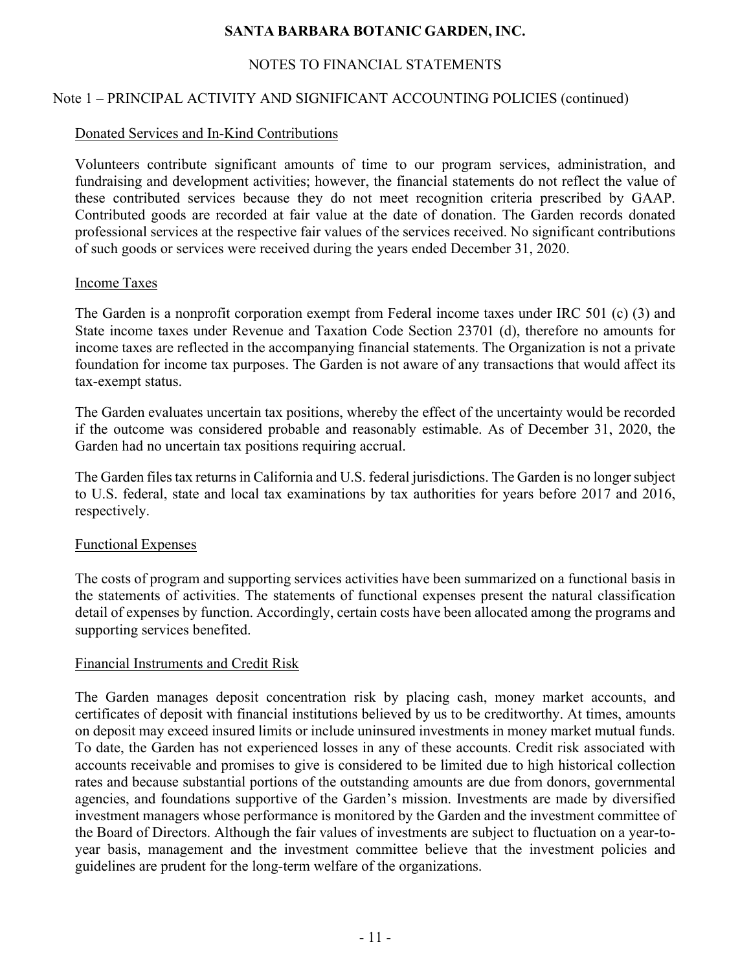# NOTES TO FINANCIAL STATEMENTS

# Note 1 – PRINCIPAL ACTIVITY AND SIGNIFICANT ACCOUNTING POLICIES (continued)

#### Donated Services and In-Kind Contributions

Volunteers contribute significant amounts of time to our program services, administration, and fundraising and development activities; however, the financial statements do not reflect the value of these contributed services because they do not meet recognition criteria prescribed by GAAP. Contributed goods are recorded at fair value at the date of donation. The Garden records donated professional services at the respective fair values of the services received. No significant contributions of such goods or services were received during the years ended December 31, 2020.

### Income Taxes

The Garden is a nonprofit corporation exempt from Federal income taxes under IRC 501 (c) (3) and State income taxes under Revenue and Taxation Code Section 23701 (d), therefore no amounts for income taxes are reflected in the accompanying financial statements. The Organization is not a private foundation for income tax purposes. The Garden is not aware of any transactions that would affect its tax-exempt status.

The Garden evaluates uncertain tax positions, whereby the effect of the uncertainty would be recorded if the outcome was considered probable and reasonably estimable. As of December 31, 2020, the Garden had no uncertain tax positions requiring accrual.

The Garden files tax returns in California and U.S. federal jurisdictions. The Garden is no longer subject to U.S. federal, state and local tax examinations by tax authorities for years before 2017 and 2016, respectively.

### Functional Expenses

The costs of program and supporting services activities have been summarized on a functional basis in the statements of activities. The statements of functional expenses present the natural classification detail of expenses by function. Accordingly, certain costs have been allocated among the programs and supporting services benefited.

### Financial Instruments and Credit Risk

The Garden manages deposit concentration risk by placing cash, money market accounts, and certificates of deposit with financial institutions believed by us to be creditworthy. At times, amounts on deposit may exceed insured limits or include uninsured investments in money market mutual funds. To date, the Garden has not experienced losses in any of these accounts. Credit risk associated with accounts receivable and promises to give is considered to be limited due to high historical collection rates and because substantial portions of the outstanding amounts are due from donors, governmental agencies, and foundations supportive of the Garden's mission. Investments are made by diversified investment managers whose performance is monitored by the Garden and the investment committee of the Board of Directors. Although the fair values of investments are subject to fluctuation on a year-toyear basis, management and the investment committee believe that the investment policies and guidelines are prudent for the long-term welfare of the organizations.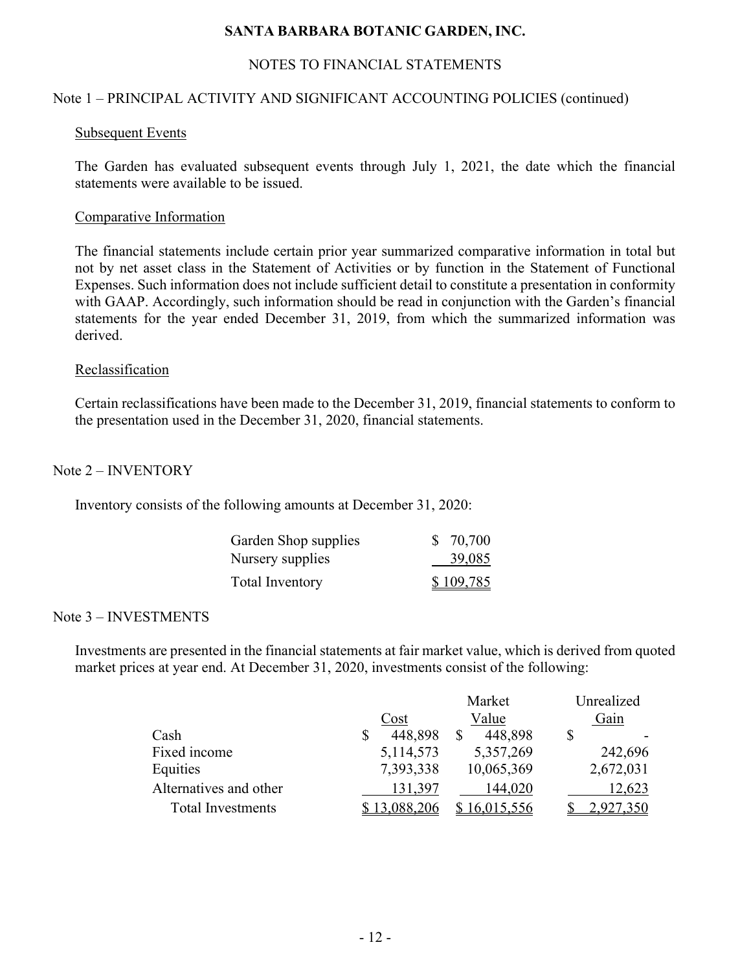# NOTES TO FINANCIAL STATEMENTS

# Note 1 – PRINCIPAL ACTIVITY AND SIGNIFICANT ACCOUNTING POLICIES (continued)

#### Subsequent Events

The Garden has evaluated subsequent events through July 1, 2021, the date which the financial statements were available to be issued.

#### Comparative Information

The financial statements include certain prior year summarized comparative information in total but not by net asset class in the Statement of Activities or by function in the Statement of Functional Expenses. Such information does not include sufficient detail to constitute a presentation in conformity with GAAP. Accordingly, such information should be read in conjunction with the Garden's financial statements for the year ended December 31, 2019, from which the summarized information was derived.

#### **Reclassification**

Certain reclassifications have been made to the December 31, 2019, financial statements to conform to the presentation used in the December 31, 2020, financial statements.

### Note 2 – INVENTORY

Inventory consists of the following amounts at December 31, 2020:

| Garden Shop supplies   | \$70,700  |
|------------------------|-----------|
| Nursery supplies       | 39,085    |
| <b>Total Inventory</b> | \$109,785 |

### Note 3 – INVESTMENTS

Investments are presented in the financial statements at fair market value, which is derived from quoted market prices at year end. At December 31, 2020, investments consist of the following:

|                          |           | Market     |           |
|--------------------------|-----------|------------|-----------|
|                          | Cost      | Value      | Gain      |
| Cash                     | 448,898   | 448,898    |           |
| Fixed income             | 5,114,573 | 5,357,269  | 242,696   |
| Equities                 | 7,393,338 | 10,065,369 | 2,672,031 |
| Alternatives and other   | 131,397   | 144,020    | 12,623    |
| <b>Total Investments</b> |           | 6.015.556  |           |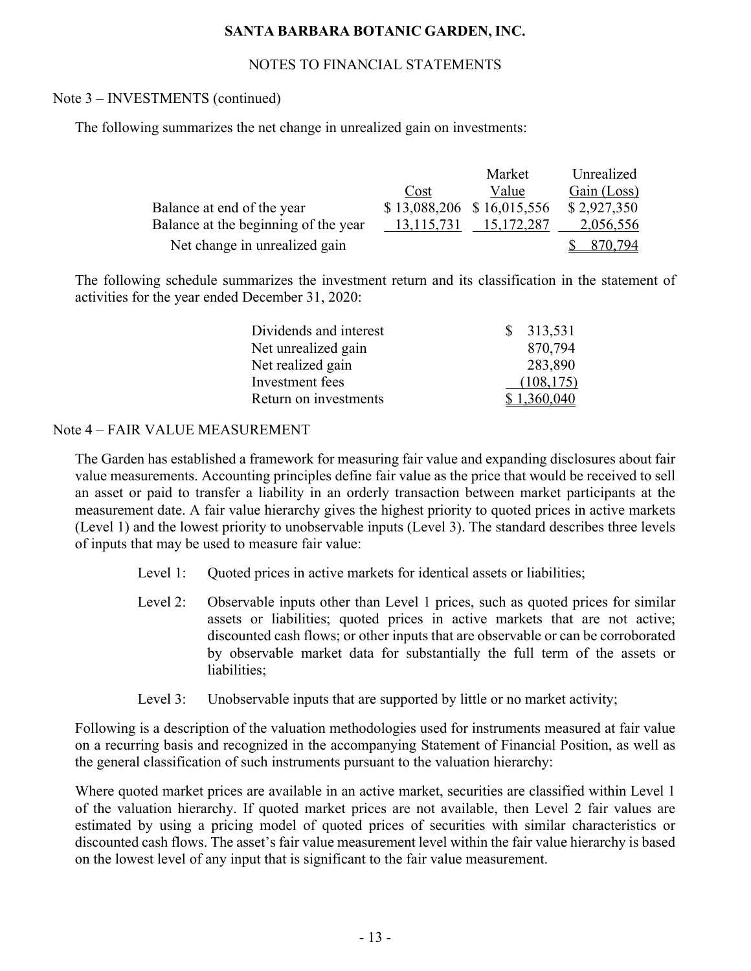# NOTES TO FINANCIAL STATEMENTS

# Note 3 – INVESTMENTS (continued)

The following summarizes the net change in unrealized gain on investments:

|                                      |            | Market                     | Unrealized  |
|--------------------------------------|------------|----------------------------|-------------|
|                                      | Cost       | Value                      | Gain (Loss) |
| Balance at end of the year           |            | $$13,088,206 \$16,015,556$ | \$2,927,350 |
| Balance at the beginning of the year | 13,115,731 | 15, 172, 287               | 2,056,556   |
| Net change in unrealized gain        |            |                            | 70 794      |

The following schedule summarizes the investment return and its classification in the statement of activities for the year ended December 31, 2020:

| Dividends and interest | \$313,531   |
|------------------------|-------------|
| Net unrealized gain    | 870,794     |
| Net realized gain      | 283,890     |
| Investment fees        | (108, 175)  |
| Return on investments  | \$1,360,040 |

### Note 4 – FAIR VALUE MEASUREMENT

The Garden has established a framework for measuring fair value and expanding disclosures about fair value measurements. Accounting principles define fair value as the price that would be received to sell an asset or paid to transfer a liability in an orderly transaction between market participants at the measurement date. A fair value hierarchy gives the highest priority to quoted prices in active markets (Level 1) and the lowest priority to unobservable inputs (Level 3). The standard describes three levels of inputs that may be used to measure fair value:

- Level 1: Quoted prices in active markets for identical assets or liabilities;
- Level 2: Observable inputs other than Level 1 prices, such as quoted prices for similar assets or liabilities; quoted prices in active markets that are not active; discounted cash flows; or other inputs that are observable or can be corroborated by observable market data for substantially the full term of the assets or liabilities:
- Level 3: Unobservable inputs that are supported by little or no market activity;

Following is a description of the valuation methodologies used for instruments measured at fair value on a recurring basis and recognized in the accompanying Statement of Financial Position, as well as the general classification of such instruments pursuant to the valuation hierarchy:

Where quoted market prices are available in an active market, securities are classified within Level 1 of the valuation hierarchy. If quoted market prices are not available, then Level 2 fair values are estimated by using a pricing model of quoted prices of securities with similar characteristics or discounted cash flows. The asset's fair value measurement level within the fair value hierarchy is based on the lowest level of any input that is significant to the fair value measurement.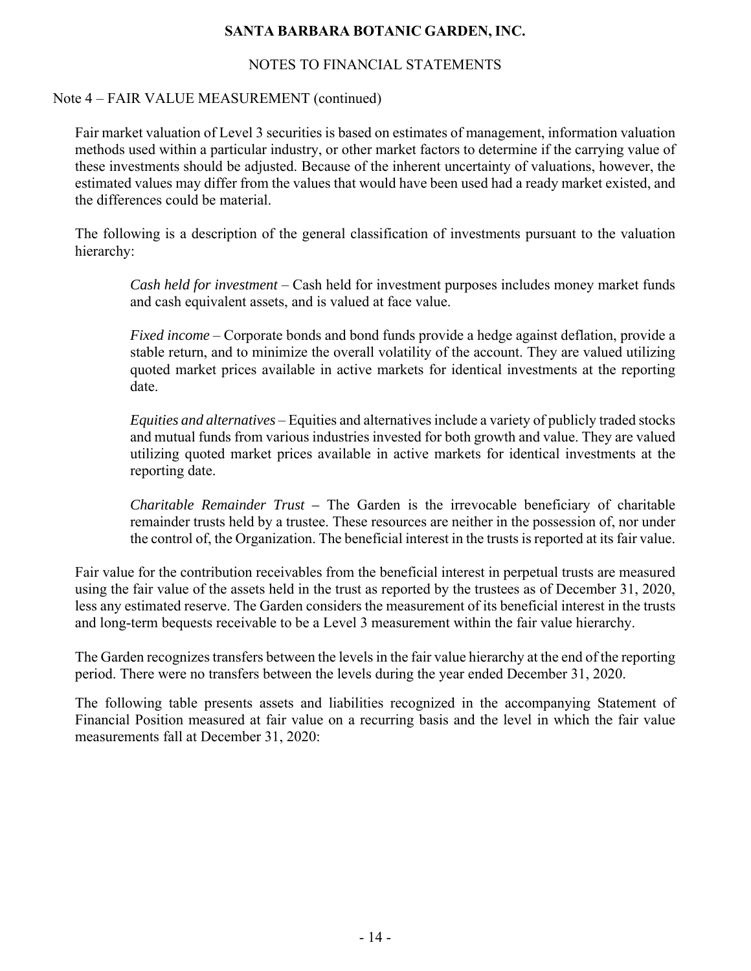# NOTES TO FINANCIAL STATEMENTS

# Note 4 – FAIR VALUE MEASUREMENT (continued)

Fair market valuation of Level 3 securities is based on estimates of management, information valuation methods used within a particular industry, or other market factors to determine if the carrying value of these investments should be adjusted. Because of the inherent uncertainty of valuations, however, the estimated values may differ from the values that would have been used had a ready market existed, and the differences could be material.

The following is a description of the general classification of investments pursuant to the valuation hierarchy:

*Cash held for investment* – Cash held for investment purposes includes money market funds and cash equivalent assets, and is valued at face value.

*Fixed income* – Corporate bonds and bond funds provide a hedge against deflation, provide a stable return, and to minimize the overall volatility of the account. They are valued utilizing quoted market prices available in active markets for identical investments at the reporting date.

*Equities and alternatives* – Equities and alternatives include a variety of publicly traded stocks and mutual funds from various industries invested for both growth and value. They are valued utilizing quoted market prices available in active markets for identical investments at the reporting date.

*Charitable Remainder Trust –* The Garden is the irrevocable beneficiary of charitable remainder trusts held by a trustee. These resources are neither in the possession of, nor under the control of, the Organization. The beneficial interest in the trusts is reported at its fair value.

Fair value for the contribution receivables from the beneficial interest in perpetual trusts are measured using the fair value of the assets held in the trust as reported by the trustees as of December 31, 2020, less any estimated reserve. The Garden considers the measurement of its beneficial interest in the trusts and long-term bequests receivable to be a Level 3 measurement within the fair value hierarchy.

The Garden recognizes transfers between the levels in the fair value hierarchy at the end of the reporting period. There were no transfers between the levels during the year ended December 31, 2020.

The following table presents assets and liabilities recognized in the accompanying Statement of Financial Position measured at fair value on a recurring basis and the level in which the fair value measurements fall at December 31, 2020: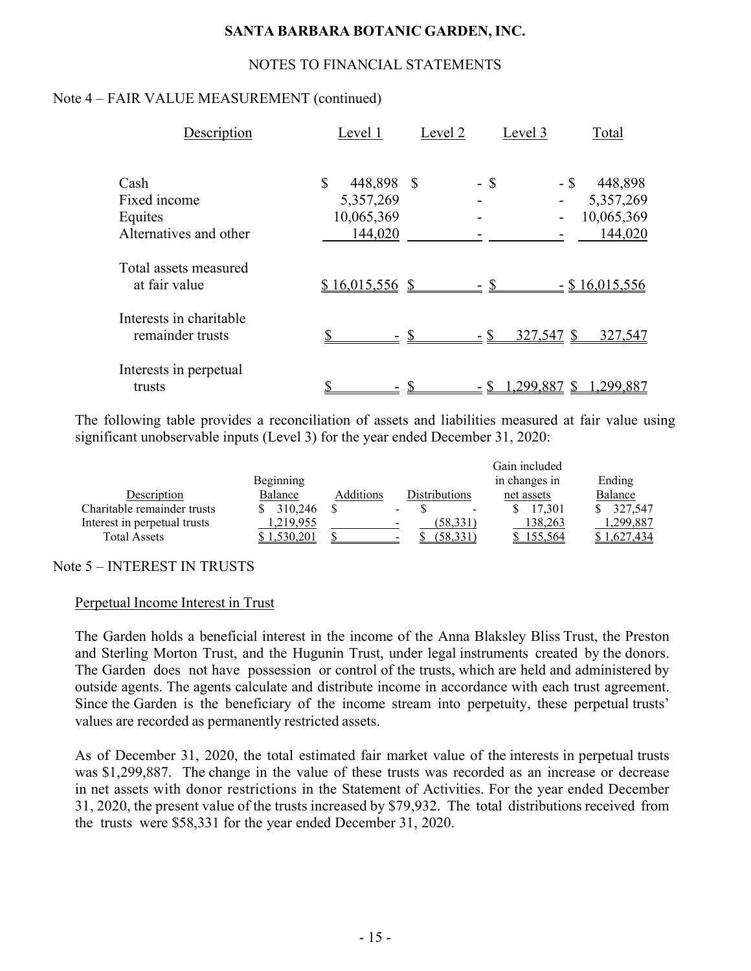# NOTES TO FINANCIAL STATEMENTS

# Note 4 – FAIR VALUE MEASUREMENT (continued)

| Description                                               | Level 1                                             | Level 2       | Level 3              | Total                                                   |
|-----------------------------------------------------------|-----------------------------------------------------|---------------|----------------------|---------------------------------------------------------|
| Cash<br>Fixed income<br>Equites<br>Alternatives and other | \$<br>448,898<br>5,357,269<br>10,065,369<br>144,020 | - \$          | $-$ \$               | 448,898<br>$-$ \$<br>5,357,269<br>10,065,369<br>144,020 |
| Total assets measured<br>at fair value                    | $$16,015,556$ \, \$                                 |               | -S                   | $-$ \$ 16,015,556                                       |
| Interests in charitable<br>remainder trusts               |                                                     | $\mathbf{\$}$ | $-$ \$<br>327,547 \$ | 327,547                                                 |
| Interests in perpetual<br>trusts                          |                                                     |               | 299.887              | .299,887                                                |

The following table provides a reconciliation of assets and liabilities measured at fair value using significant unobservable inputs (Level 3) for the year ended December 31, 2020:

|                              |           |           |               | Gain included |           |
|------------------------------|-----------|-----------|---------------|---------------|-----------|
|                              | Beginning |           |               | in changes in | Ending    |
| Description                  | Balance   | Additions | Distributions | net assets    | Balance   |
| Charitable remainder trusts  | 310,246   |           |               | 17.301        | 327.547   |
| Interest in perpetual trusts | 1,219,955 |           | (58,331)<br>- | 138,263       | 1,299,887 |
| <b>Total Assets</b>          | .530.201  |           | 58.331        | 155.564       | .627.434  |

Note 5 – INTEREST IN TRUSTS

### Perpetual Income Interest in Trust

The Garden holds a beneficial interest in the income of the Anna Blaksley Bliss Trust, the Preston and Sterling Morton Trust, and the Hugunin Trust, under legal instruments created by the donors. The Garden does not have possession or control of the trusts, which are held and administered by outside agents. The agents calculate and distribute income in accordance with each trust agreement. Since the Garden is the beneficiary of the income stream into perpetuity, these perpetual trusts' values are recorded as permanently restricted assets.

As of December 31, 2020, the total estimated fair market value of the interests in perpetual trusts was \$1,299,887. The change in the value of these trusts was recorded as an increase or decrease in net assets with donor restrictions in the Statement of Activities. For the year ended December 31, 2020, the present value of the trusts increased by \$79,932. The total distributions received from the trusts were \$58,331 for the year ended December 31, 2020.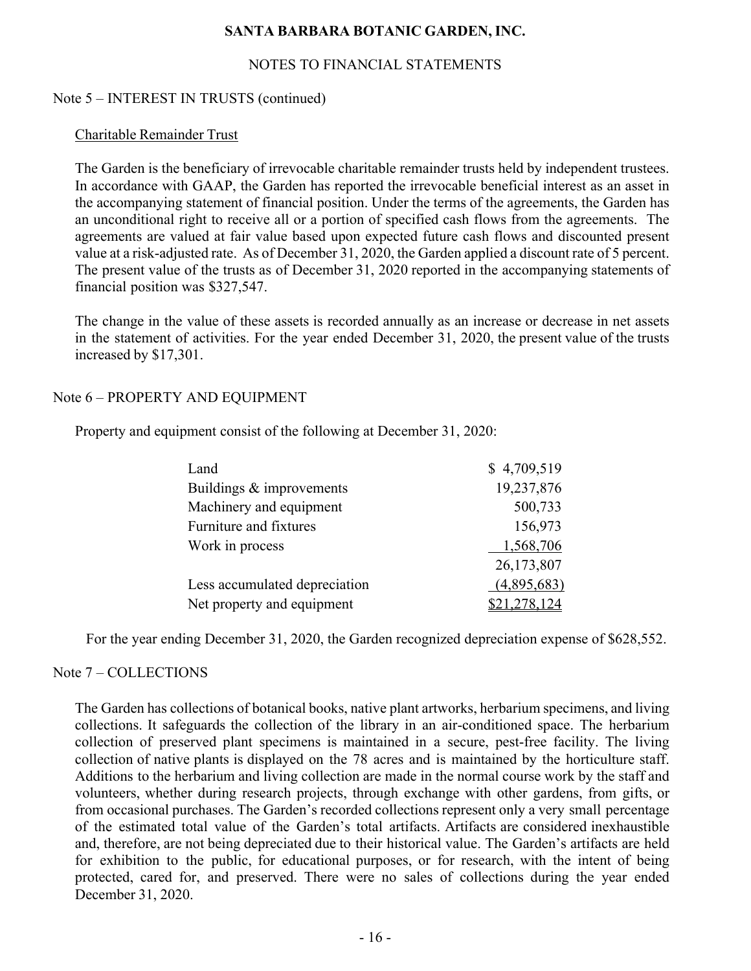# NOTES TO FINANCIAL STATEMENTS

# Note 5 – INTEREST IN TRUSTS (continued)

### Charitable Remainder Trust

The Garden is the beneficiary of irrevocable charitable remainder trusts held by independent trustees. In accordance with GAAP, the Garden has reported the irrevocable beneficial interest as an asset in the accompanying statement of financial position. Under the terms of the agreements, the Garden has an unconditional right to receive all or a portion of specified cash flows from the agreements. The agreements are valued at fair value based upon expected future cash flows and discounted present value at a risk-adjusted rate. As of December 31, 2020, the Garden applied a discount rate of 5 percent. The present value of the trusts as of December 31, 2020 reported in the accompanying statements of financial position was \$327,547.

The change in the value of these assets is recorded annually as an increase or decrease in net assets in the statement of activities. For the year ended December 31, 2020, the present value of the trusts increased by \$17,301.

# Note 6 – PROPERTY AND EQUIPMENT

Property and equipment consist of the following at December 31, 2020:

| Land                          | \$4,709,519         |
|-------------------------------|---------------------|
| Buildings & improvements      | 19,237,876          |
| Machinery and equipment       | 500,733             |
| Furniture and fixtures        | 156,973             |
| Work in process               | 1,568,706           |
|                               | 26,173,807          |
| Less accumulated depreciation | (4,895,683)         |
| Net property and equipment    | <u>\$21,278,124</u> |

For the year ending December 31, 2020, the Garden recognized depreciation expense of \$628,552.

### Note 7 – COLLECTIONS

The Garden has collections of botanical books, native plant artworks, herbarium specimens, and living collections. It safeguards the collection of the library in an air-conditioned space. The herbarium collection of preserved plant specimens is maintained in a secure, pest-free facility. The living collection of native plants is displayed on the 78 acres and is maintained by the horticulture staff. Additions to the herbarium and living collection are made in the normal course work by the staff and volunteers, whether during research projects, through exchange with other gardens, from gifts, or from occasional purchases. The Garden's recorded collections represent only a very small percentage of the estimated total value of the Garden's total artifacts. Artifacts are considered inexhaustible and, therefore, are not being depreciated due to their historical value. The Garden's artifacts are held for exhibition to the public, for educational purposes, or for research, with the intent of being protected, cared for, and preserved. There were no sales of collections during the year ended December 31, 2020.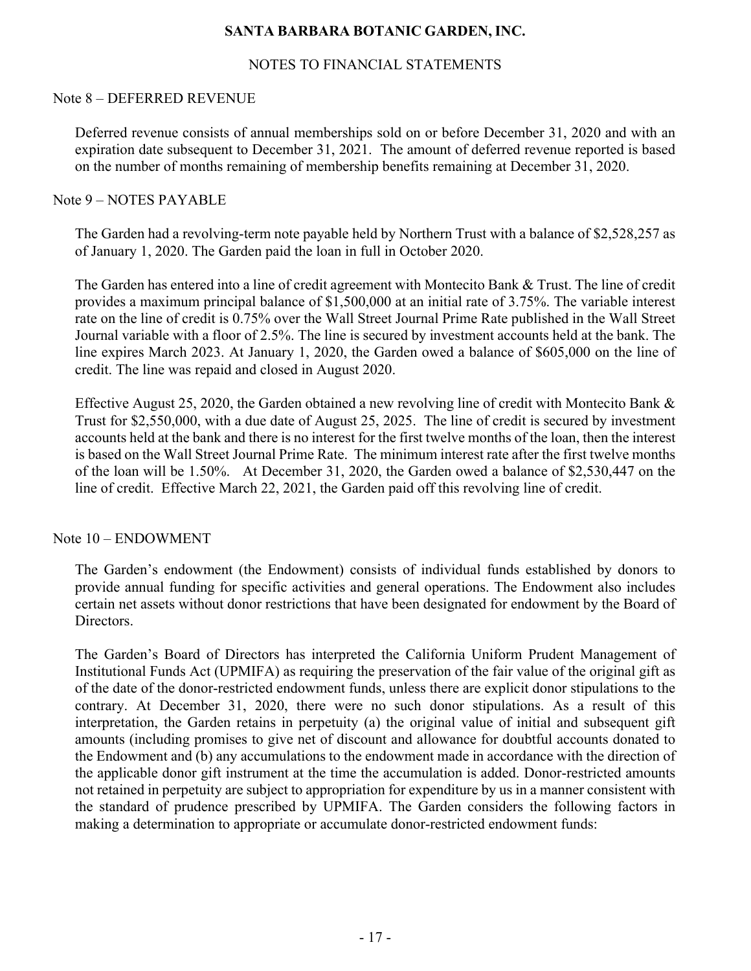# NOTES TO FINANCIAL STATEMENTS

#### Note 8 – DEFERRED REVENUE

Deferred revenue consists of annual memberships sold on or before December 31, 2020 and with an expiration date subsequent to December 31, 2021. The amount of deferred revenue reported is based on the number of months remaining of membership benefits remaining at December 31, 2020.

### Note 9 – NOTES PAYABLE

The Garden had a revolving-term note payable held by Northern Trust with a balance of \$2,528,257 as of January 1, 2020. The Garden paid the loan in full in October 2020.

The Garden has entered into a line of credit agreement with Montecito Bank & Trust. The line of credit provides a maximum principal balance of \$1,500,000 at an initial rate of 3.75%. The variable interest rate on the line of credit is 0.75% over the Wall Street Journal Prime Rate published in the Wall Street Journal variable with a floor of 2.5%. The line is secured by investment accounts held at the bank. The line expires March 2023. At January 1, 2020, the Garden owed a balance of \$605,000 on the line of credit. The line was repaid and closed in August 2020.

Effective August 25, 2020, the Garden obtained a new revolving line of credit with Montecito Bank & Trust for \$2,550,000, with a due date of August 25, 2025. The line of credit is secured by investment accounts held at the bank and there is no interest for the first twelve months of the loan, then the interest is based on the Wall Street Journal Prime Rate. The minimum interest rate after the first twelve months of the loan will be 1.50%. At December 31, 2020, the Garden owed a balance of \$2,530,447 on the line of credit. Effective March 22, 2021, the Garden paid off this revolving line of credit.

### Note 10 – ENDOWMENT

The Garden's endowment (the Endowment) consists of individual funds established by donors to provide annual funding for specific activities and general operations. The Endowment also includes certain net assets without donor restrictions that have been designated for endowment by the Board of Directors.

The Garden's Board of Directors has interpreted the California Uniform Prudent Management of Institutional Funds Act (UPMIFA) as requiring the preservation of the fair value of the original gift as of the date of the donor-restricted endowment funds, unless there are explicit donor stipulations to the contrary. At December 31, 2020, there were no such donor stipulations. As a result of this interpretation, the Garden retains in perpetuity (a) the original value of initial and subsequent gift amounts (including promises to give net of discount and allowance for doubtful accounts donated to the Endowment and (b) any accumulations to the endowment made in accordance with the direction of the applicable donor gift instrument at the time the accumulation is added. Donor-restricted amounts not retained in perpetuity are subject to appropriation for expenditure by us in a manner consistent with the standard of prudence prescribed by UPMIFA. The Garden considers the following factors in making a determination to appropriate or accumulate donor-restricted endowment funds: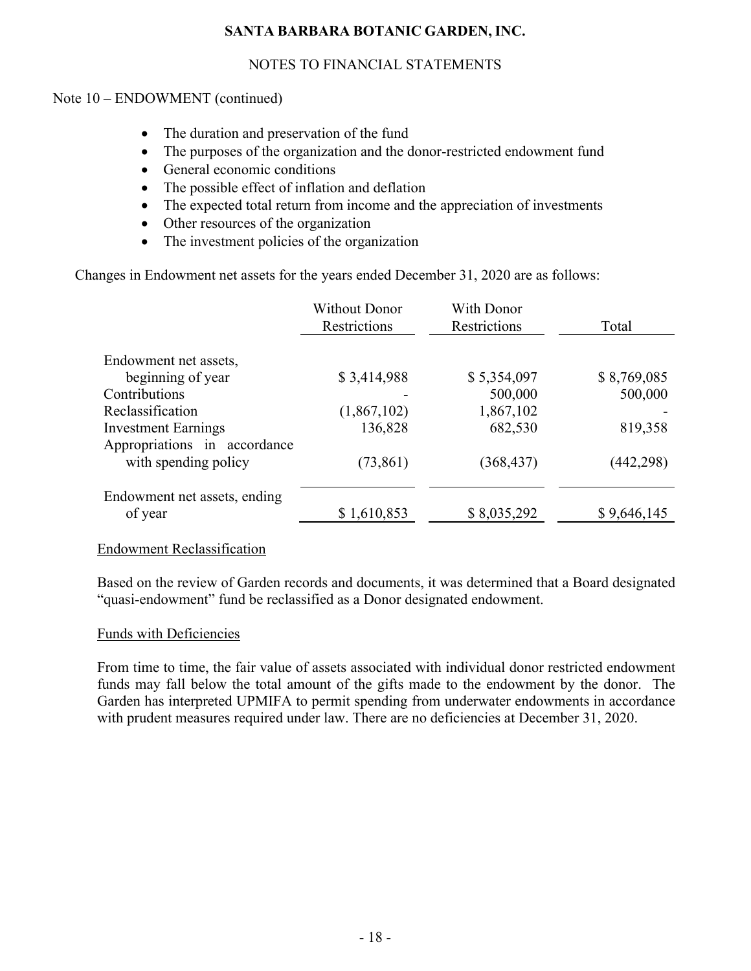# NOTES TO FINANCIAL STATEMENTS

Note 10 – ENDOWMENT (continued)

- The duration and preservation of the fund
- The purposes of the organization and the donor-restricted endowment fund
- General economic conditions
- The possible effect of inflation and deflation
- The expected total return from income and the appreciation of investments
- Other resources of the organization
- The investment policies of the organization

Changes in Endowment net assets for the years ended December 31, 2020 are as follows:

|                              | <b>Without Donor</b><br>Restrictions | With Donor<br>Restrictions | Total       |
|------------------------------|--------------------------------------|----------------------------|-------------|
| Endowment net assets,        |                                      |                            |             |
| beginning of year            | \$3,414,988                          | \$5,354,097                | \$8,769,085 |
| Contributions                |                                      | 500,000                    | 500,000     |
| Reclassification             | (1,867,102)                          | 1,867,102                  |             |
| <b>Investment Earnings</b>   | 136,828                              | 682,530                    | 819,358     |
| Appropriations in accordance |                                      |                            |             |
| with spending policy         | (73, 861)                            | (368, 437)                 | (442, 298)  |
| Endowment net assets, ending |                                      |                            |             |
| of year                      | \$1,610,853                          | \$8,035,292                | \$9,646,145 |

### Endowment Reclassification

Based on the review of Garden records and documents, it was determined that a Board designated "quasi-endowment" fund be reclassified as a Donor designated endowment.

### Funds with Deficiencies

From time to time, the fair value of assets associated with individual donor restricted endowment funds may fall below the total amount of the gifts made to the endowment by the donor. The Garden has interpreted UPMIFA to permit spending from underwater endowments in accordance with prudent measures required under law. There are no deficiencies at December 31, 2020.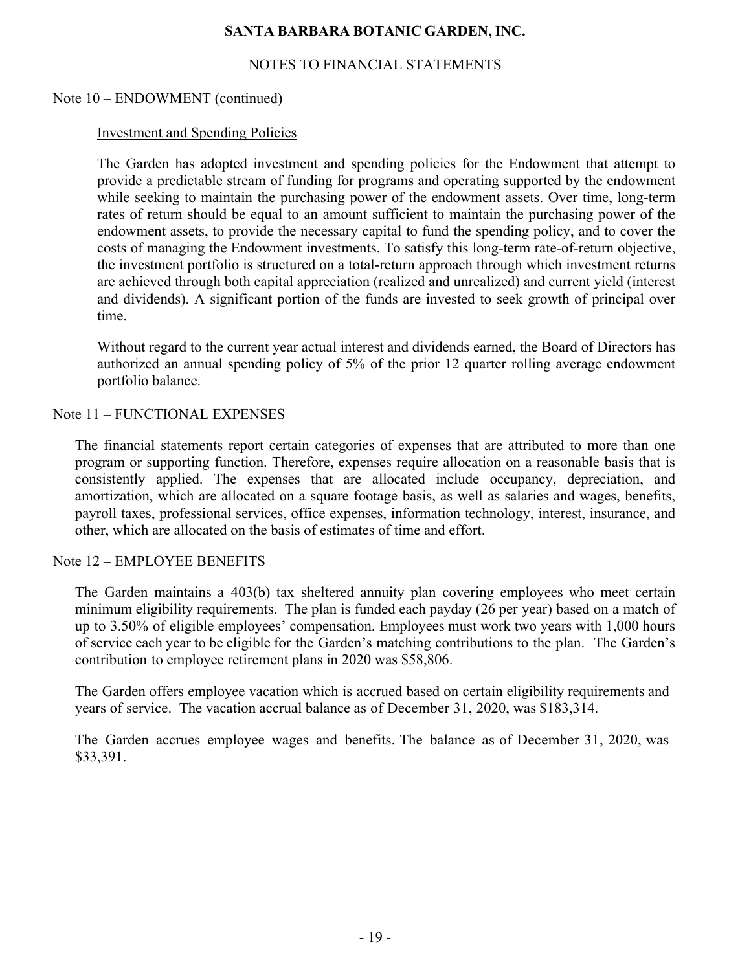# NOTES TO FINANCIAL STATEMENTS

# Note 10 – ENDOWMENT (continued)

# Investment and Spending Policies

The Garden has adopted investment and spending policies for the Endowment that attempt to provide a predictable stream of funding for programs and operating supported by the endowment while seeking to maintain the purchasing power of the endowment assets. Over time, long-term rates of return should be equal to an amount sufficient to maintain the purchasing power of the endowment assets, to provide the necessary capital to fund the spending policy, and to cover the costs of managing the Endowment investments. To satisfy this long-term rate-of-return objective, the investment portfolio is structured on a total-return approach through which investment returns are achieved through both capital appreciation (realized and unrealized) and current yield (interest and dividends). A significant portion of the funds are invested to seek growth of principal over time.

Without regard to the current year actual interest and dividends earned, the Board of Directors has authorized an annual spending policy of 5% of the prior 12 quarter rolling average endowment portfolio balance.

# Note 11 – FUNCTIONAL EXPENSES

The financial statements report certain categories of expenses that are attributed to more than one program or supporting function. Therefore, expenses require allocation on a reasonable basis that is consistently applied. The expenses that are allocated include occupancy, depreciation, and amortization, which are allocated on a square footage basis, as well as salaries and wages, benefits, payroll taxes, professional services, office expenses, information technology, interest, insurance, and other, which are allocated on the basis of estimates of time and effort.

### Note 12 – EMPLOYEE BENEFITS

The Garden maintains a 403(b) tax sheltered annuity plan covering employees who meet certain minimum eligibility requirements. The plan is funded each payday (26 per year) based on a match of up to 3.50% of eligible employees' compensation. Employees must work two years with 1,000 hours of service each year to be eligible for the Garden's matching contributions to the plan. The Garden's contribution to employee retirement plans in 2020 was \$58,806.

The Garden offers employee vacation which is accrued based on certain eligibility requirements and years of service. The vacation accrual balance as of December 31, 2020, was \$183,314.

The Garden accrues employee wages and benefits. The balance as of December 31, 2020, was \$33,391.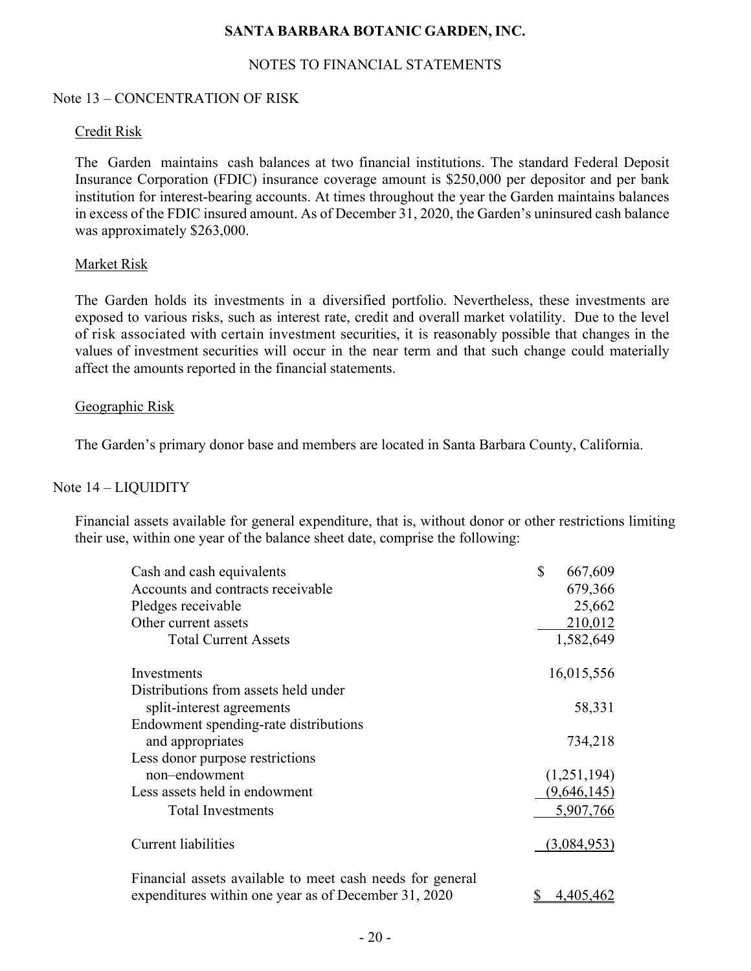# NOTES TO FINANCIAL STATEMENTS

### Note 13 – CONCENTRATION OF RISK

# Credit Risk

The Garden maintains cash balances at two financial institutions. The standard Federal Deposit Insurance Corporation (FDIC) insurance coverage amount is \$250,000 per depositor and per bank institution for interest-bearing accounts. At times throughout the year the Garden maintains balances in excess of the FDIC insured amount. As of December 31, 2020, the Garden's uninsured cash balance was approximately \$263,000.

# Market Risk

The Garden holds its investments in a diversified portfolio. Nevertheless, these investments are exposed to various risks, such as interest rate, credit and overall market volatility. Due to the level of risk associated with certain investment securities, it is reasonably possible that changes in the values of investment securities will occur in the near term and that such change could materially affect the amounts reported in the financial statements.

### Geographic Risk

The Garden's primary donor base and members are located in Santa Barbara County, California.

# Note 14 – LIQUIDITY

Financial assets available for general expenditure, that is, without donor or other restrictions limiting their use, within one year of the balance sheet date, comprise the following:

| Cash and cash equivalents                                 | \$<br>667,609          |
|-----------------------------------------------------------|------------------------|
| Accounts and contracts receivable                         | 679,366                |
| Pledges receivable                                        | 25,662                 |
| Other current assets                                      | 210,012                |
| <b>Total Current Assets</b>                               | 1,582,649              |
| Investments                                               | 16,015,556             |
| Distributions from assets held under                      |                        |
| split-interest agreements                                 | 58,331                 |
| Endowment spending-rate distributions                     |                        |
| and appropriates                                          | 734,218                |
| Less donor purpose restrictions                           |                        |
| non-endowment                                             | (1,251,194)            |
| Less assets held in endowment                             | (9,646,145)            |
| <b>Total Investments</b>                                  | 5,907,766              |
| <b>Current liabilities</b>                                | (3,084,953)            |
| Financial assets available to meet cash needs for general |                        |
| expenditures within one year as of December 31, 2020      | <u>4,405,462</u><br>\$ |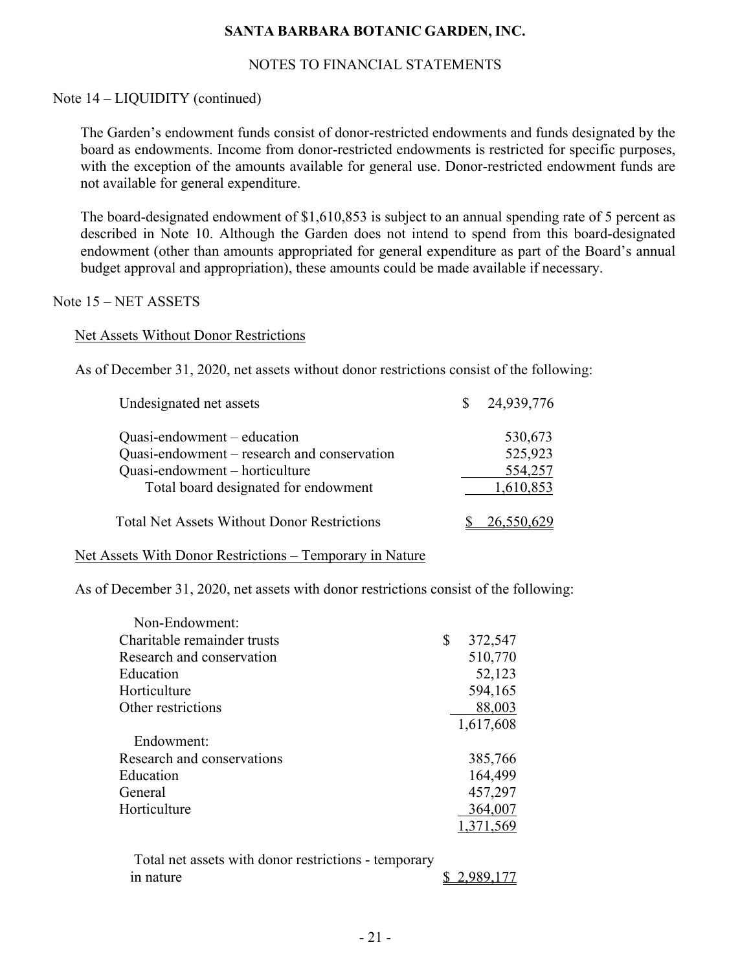# NOTES TO FINANCIAL STATEMENTS

# Note 14 – LIQUIDITY (continued)

The Garden's endowment funds consist of donor-restricted endowments and funds designated by the board as endowments. Income from donor-restricted endowments is restricted for specific purposes, with the exception of the amounts available for general use. Donor-restricted endowment funds are not available for general expenditure.

The board-designated endowment of \$1,610,853 is subject to an annual spending rate of 5 percent as described in Note 10. Although the Garden does not intend to spend from this board-designated endowment (other than amounts appropriated for general expenditure as part of the Board's annual budget approval and appropriation), these amounts could be made available if necessary.

### Note 15 – NET ASSETS

### Net Assets Without Donor Restrictions

As of December 31, 2020, net assets without donor restrictions consist of the following:

| Undesignated net assets                            | 24,939,776 |
|----------------------------------------------------|------------|
| Quasi-endowment – education                        | 530,673    |
| Quasi-endowment - research and conservation        | 525,923    |
| Quasi-endowment – horticulture                     | 554,257    |
| Total board designated for endowment               | 1,610,853  |
| <b>Total Net Assets Without Donor Restrictions</b> | 26.551     |

### Net Assets With Donor Restrictions – Temporary in Nature

As of December 31, 2020, net assets with donor restrictions consist of the following:

| Non-Endowment:                    |               |
|-----------------------------------|---------------|
| Charitable remainder trusts       | \$<br>372,547 |
| Research and conservation         | 510,770       |
| Education                         | 52,123        |
| Horticulture                      | 594,165       |
| Other restrictions                | 88,003        |
|                                   | 1,617,608     |
| Endowment:                        |               |
| <b>Research and conservations</b> | 385,766       |
| Education                         | 164,499       |
| General                           | 457,297       |
| Horticulture                      | 364,007       |
|                                   | 1,371,569     |

| Total net assets with donor restrictions - temporary |             |
|------------------------------------------------------|-------------|
| in nature                                            | \$2.989,177 |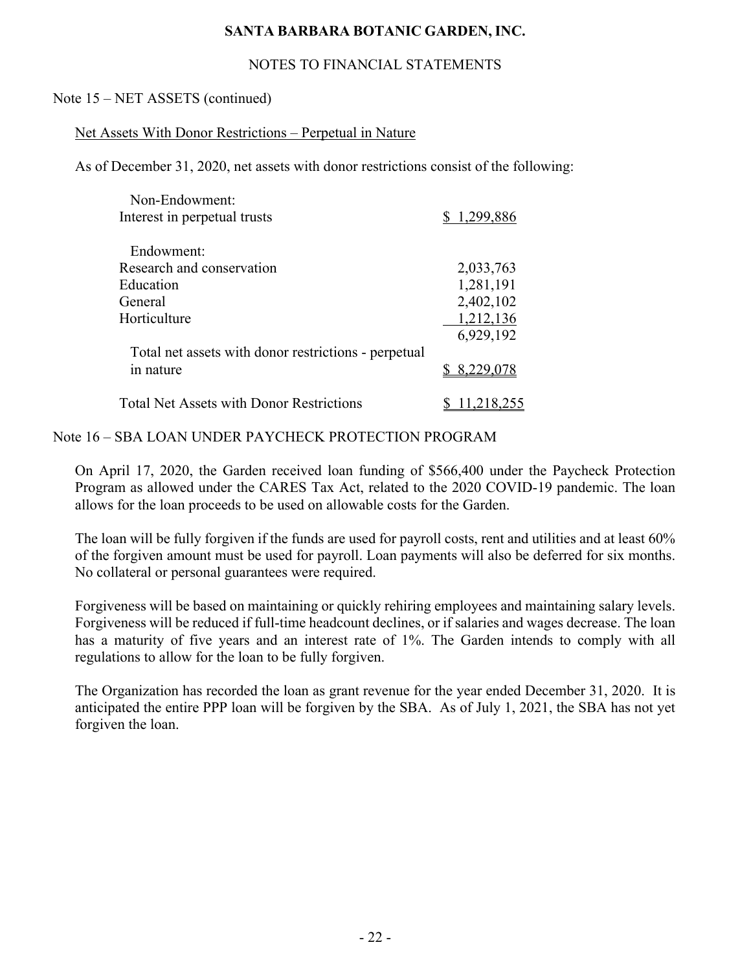# NOTES TO FINANCIAL STATEMENTS

### Note 15 – NET ASSETS (continued)

#### Net Assets With Donor Restrictions – Perpetual in Nature

As of December 31, 2020, net assets with donor restrictions consist of the following:

| Non-Endowment:                                       |              |
|------------------------------------------------------|--------------|
| Interest in perpetual trusts                         | \$1,299,886  |
| Endowment:                                           |              |
| Research and conservation                            | 2,033,763    |
| Education                                            | 1,281,191    |
| General                                              | 2,402,102    |
| Horticulture                                         | 1,212,136    |
|                                                      | 6,929,192    |
| Total net assets with donor restrictions - perpetual |              |
| in nature                                            | \$ 8,229,078 |
| <b>Total Net Assets with Donor Restrictions</b>      | ,218,255     |

### Note 16 – SBA LOAN UNDER PAYCHECK PROTECTION PROGRAM

On April 17, 2020, the Garden received loan funding of \$566,400 under the Paycheck Protection Program as allowed under the CARES Tax Act, related to the 2020 COVID-19 pandemic. The loan allows for the loan proceeds to be used on allowable costs for the Garden.

The loan will be fully forgiven if the funds are used for payroll costs, rent and utilities and at least 60% of the forgiven amount must be used for payroll. Loan payments will also be deferred for six months. No collateral or personal guarantees were required.

Forgiveness will be based on maintaining or quickly rehiring employees and maintaining salary levels. Forgiveness will be reduced if full-time headcount declines, or if salaries and wages decrease. The loan has a maturity of five years and an interest rate of 1%. The Garden intends to comply with all regulations to allow for the loan to be fully forgiven.

The Organization has recorded the loan as grant revenue for the year ended December 31, 2020. It is anticipated the entire PPP loan will be forgiven by the SBA. As of July 1, 2021, the SBA has not yet forgiven the loan.